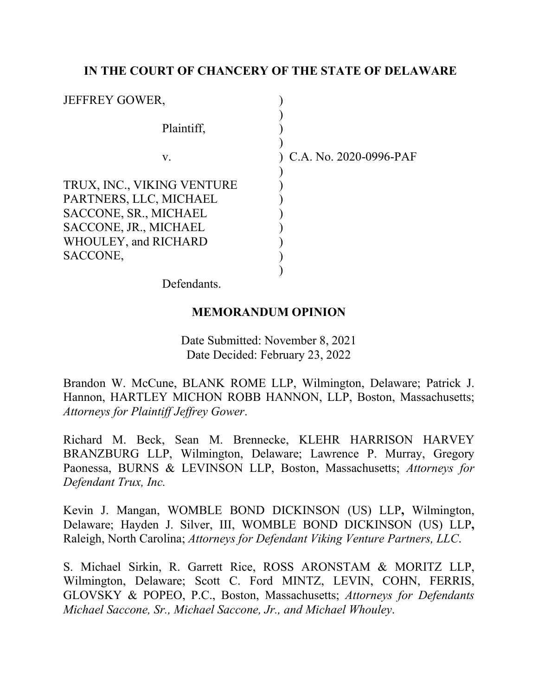# **IN THE COURT OF CHANCERY OF THE STATE OF DELAWARE**

| <b>JEFFREY GOWER,</b>                                                                                                                      |                          |
|--------------------------------------------------------------------------------------------------------------------------------------------|--------------------------|
| Plaintiff,                                                                                                                                 |                          |
| v.                                                                                                                                         | ) C.A. No. 2020-0996-PAF |
| TRUX, INC., VIKING VENTURE<br>PARTNERS, LLC, MICHAEL<br>SACCONE, SR., MICHAEL<br>SACCONE, JR., MICHAEL<br>WHOULEY, and RICHARD<br>SACCONE, |                          |

Defendants.

## **MEMORANDUM OPINION**

Date Submitted: November 8, 2021 Date Decided: February 23, 2022

Brandon W. McCune, BLANK ROME LLP, Wilmington, Delaware; Patrick J. Hannon, HARTLEY MICHON ROBB HANNON, LLP, Boston, Massachusetts; *Attorneys for Plaintiff Jeffrey Gower*.

Richard M. Beck, Sean M. Brennecke, KLEHR HARRISON HARVEY BRANZBURG LLP, Wilmington, Delaware; Lawrence P. Murray, Gregory Paonessa, BURNS & LEVINSON LLP, Boston, Massachusetts; *Attorneys for Defendant Trux, Inc.*

Kevin J. Mangan, WOMBLE BOND DICKINSON (US) LLP**,** Wilmington, Delaware; Hayden J. Silver, III, WOMBLE BOND DICKINSON (US) LLP**,**  Raleigh, North Carolina; *Attorneys for Defendant Viking Venture Partners, LLC*.

S. Michael Sirkin, R. Garrett Rice, ROSS ARONSTAM & MORITZ LLP, Wilmington, Delaware; Scott C. Ford MINTZ, LEVIN, COHN, FERRIS, GLOVSKY & POPEO, P.C., Boston, Massachusetts; *Attorneys for Defendants Michael Saccone, Sr., Michael Saccone, Jr., and Michael Whouley*.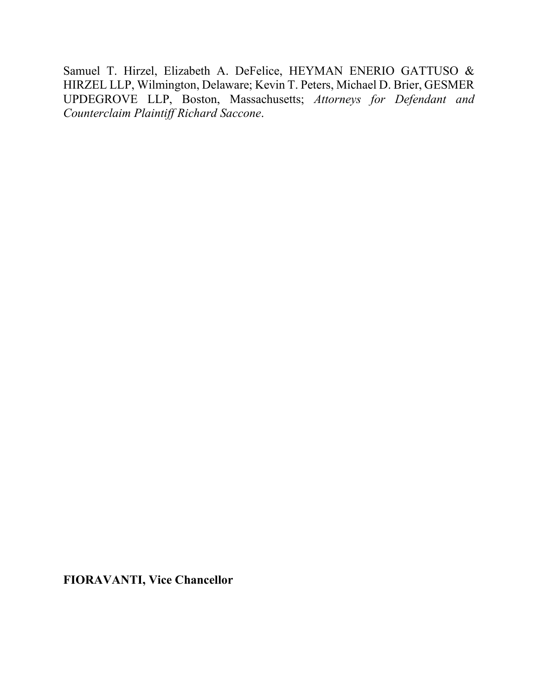Samuel T. Hirzel, Elizabeth A. DeFelice, HEYMAN ENERIO GATTUSO & HIRZEL LLP, Wilmington, Delaware; Kevin T. Peters, Michael D. Brier, GESMER UPDEGROVE LLP, Boston, Massachusetts; *Attorneys for Defendant and Counterclaim Plaintiff Richard Saccone*.

**FIORAVANTI, Vice Chancellor**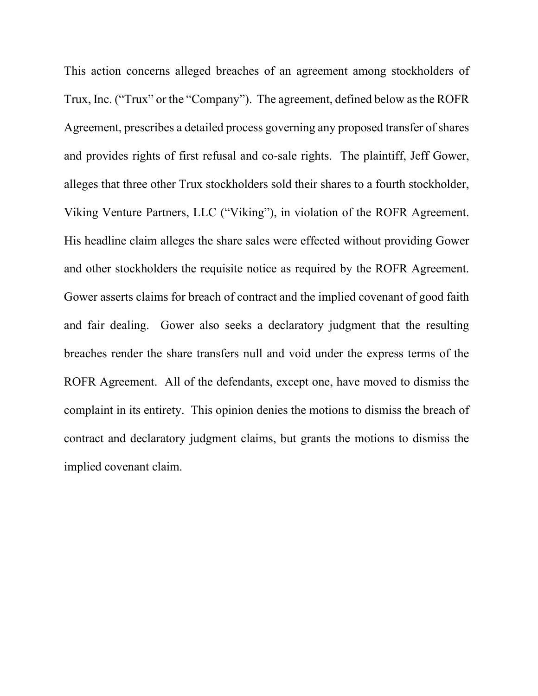This action concerns alleged breaches of an agreement among stockholders of Trux, Inc. ("Trux" or the "Company"). The agreement, defined below as the ROFR Agreement, prescribes a detailed process governing any proposed transfer of shares and provides rights of first refusal and co-sale rights. The plaintiff, Jeff Gower, alleges that three other Trux stockholders sold their shares to a fourth stockholder, Viking Venture Partners, LLC ("Viking"), in violation of the ROFR Agreement. His headline claim alleges the share sales were effected without providing Gower and other stockholders the requisite notice as required by the ROFR Agreement. Gower asserts claims for breach of contract and the implied covenant of good faith and fair dealing. Gower also seeks a declaratory judgment that the resulting breaches render the share transfers null and void under the express terms of the ROFR Agreement. All of the defendants, except one, have moved to dismiss the complaint in its entirety. This opinion denies the motions to dismiss the breach of contract and declaratory judgment claims, but grants the motions to dismiss the implied covenant claim.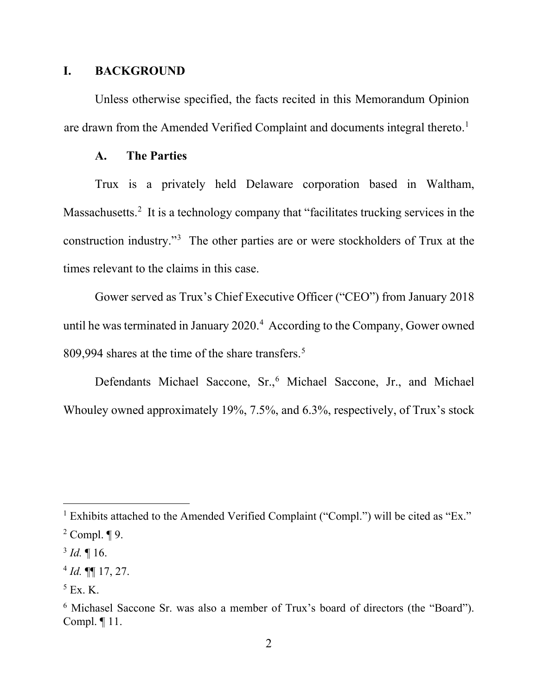### **I. BACKGROUND**

Unless otherwise specified, the facts recited in this Memorandum Opinion are drawn from the Amended Verified Complaint and documents integral thereto.<sup>1</sup>

### **A. The Parties**

Trux is a privately held Delaware corporation based in Waltham, Massachusetts.<sup>2</sup> It is a technology company that "facilitates trucking services in the construction industry."3 The other parties are or were stockholders of Trux at the times relevant to the claims in this case.

Gower served as Trux's Chief Executive Officer ("CEO") from January 2018 until he was terminated in January  $2020<sup>4</sup>$  According to the Company, Gower owned 809,994 shares at the time of the share transfers. 5

Defendants Michael Saccone, Sr., <sup>6</sup> Michael Saccone, Jr., and Michael Whouley owned approximately 19%, 7.5%, and 6.3%, respectively, of Trux's stock

 $1$  Exhibits attached to the Amended Verified Complaint ("Compl.") will be cited as "Ex."

 $2$  Compl.  $\P$  9.

 $3$  *Id.*  $\llbracket 16$ .

<sup>4</sup> *Id.* ¶¶ 17, 27.

 $5$  Ex. K.

<sup>6</sup> Michasel Saccone Sr. was also a member of Trux's board of directors (the "Board"). Compl. ¶ 11.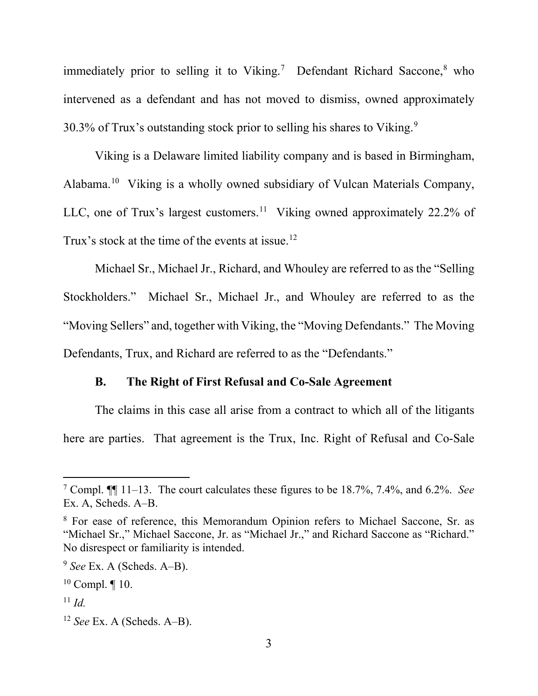immediately prior to selling it to Viking.<sup>7</sup> Defendant Richard Saccone,<sup>8</sup> who intervened as a defendant and has not moved to dismiss, owned approximately 30.3% of Trux's outstanding stock prior to selling his shares to Viking. $9$ 

Viking is a Delaware limited liability company and is based in Birmingham, Alabama.10 Viking is a wholly owned subsidiary of Vulcan Materials Company, LLC, one of Trux's largest customers.<sup>11</sup> Viking owned approximately 22.2% of Trux's stock at the time of the events at issue.<sup>12</sup>

Michael Sr., Michael Jr., Richard, and Whouley are referred to as the "Selling Stockholders." Michael Sr., Michael Jr., and Whouley are referred to as the "Moving Sellers" and, together with Viking, the "Moving Defendants." The Moving Defendants, Trux, and Richard are referred to as the "Defendants."

### **B. The Right of First Refusal and Co-Sale Agreement**

The claims in this case all arise from a contract to which all of the litigants here are parties. That agreement is the Trux, Inc. Right of Refusal and Co-Sale

<sup>7</sup> Compl. ¶¶ 11–13. The court calculates these figures to be 18.7%, 7.4%, and 6.2%. *See* Ex. A, Scheds. A–B.

<sup>8</sup> For ease of reference, this Memorandum Opinion refers to Michael Saccone, Sr. as "Michael Sr.," Michael Saccone, Jr. as "Michael Jr.," and Richard Saccone as "Richard." No disrespect or familiarity is intended.

<sup>9</sup> *See* Ex. A (Scheds. A–B).

 $10$  Compl.  $\P$  10.

 $11$  *Id.* 

<sup>12</sup> *See* Ex. A (Scheds. A–B).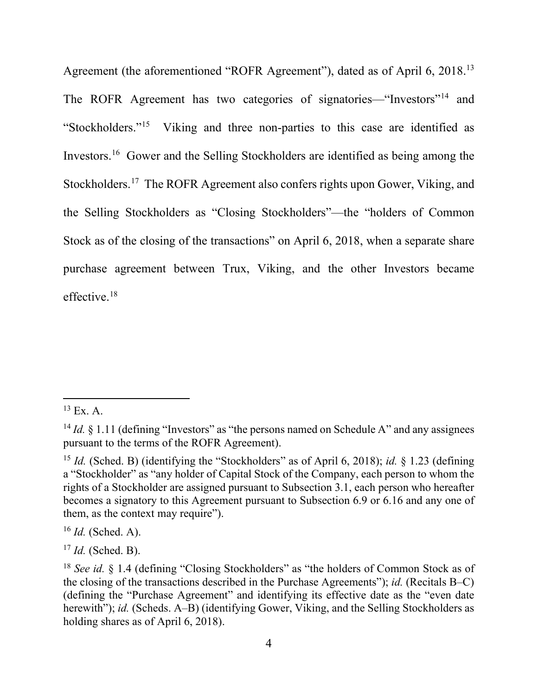Agreement (the aforementioned "ROFR Agreement"), dated as of April 6, 2018.13 The ROFR Agreement has two categories of signatories—"Investors"14 and "Stockholders."15 Viking and three non-parties to this case are identified as Investors.16 Gower and the Selling Stockholders are identified as being among the Stockholders. 17 The ROFR Agreement also confers rights upon Gower, Viking, and the Selling Stockholders as "Closing Stockholders"—the "holders of Common Stock as of the closing of the transactions" on April 6, 2018, when a separate share purchase agreement between Trux, Viking, and the other Investors became effective. 18

 $^{13}$  Ex. A.

<sup>&</sup>lt;sup>14</sup> *Id.* § 1.11 (defining "Investors" as "the persons named on Schedule A" and any assignees pursuant to the terms of the ROFR Agreement).

<sup>&</sup>lt;sup>15</sup> *Id.* (Sched. B) (identifying the "Stockholders" as of April 6, 2018); *id.* § 1.23 (defining a "Stockholder" as "any holder of Capital Stock of the Company, each person to whom the rights of a Stockholder are assigned pursuant to Subsection 3.1, each person who hereafter becomes a signatory to this Agreement pursuant to Subsection 6.9 or 6.16 and any one of them, as the context may require").

<sup>16</sup> *Id.* (Sched. A).

<sup>17</sup> *Id.* (Sched. B).

<sup>&</sup>lt;sup>18</sup> *See id.* § 1.4 (defining "Closing Stockholders" as "the holders of Common Stock as of the closing of the transactions described in the Purchase Agreements"); *id.* (Recitals B–C) (defining the "Purchase Agreement" and identifying its effective date as the "even date herewith"); *id.* (Scheds. A–B) (identifying Gower, Viking, and the Selling Stockholders as holding shares as of April 6, 2018).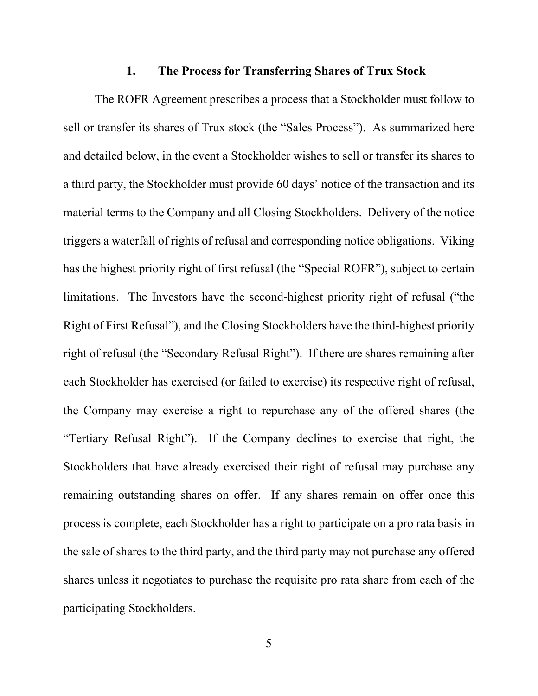# **1. The Process for Transferring Shares of Trux Stock**

The ROFR Agreement prescribes a process that a Stockholder must follow to sell or transfer its shares of Trux stock (the "Sales Process"). As summarized here and detailed below, in the event a Stockholder wishes to sell or transfer its shares to a third party, the Stockholder must provide 60 days' notice of the transaction and its material terms to the Company and all Closing Stockholders. Delivery of the notice triggers a waterfall of rights of refusal and corresponding notice obligations. Viking has the highest priority right of first refusal (the "Special ROFR"), subject to certain limitations. The Investors have the second-highest priority right of refusal ("the Right of First Refusal"), and the Closing Stockholders have the third-highest priority right of refusal (the "Secondary Refusal Right"). If there are shares remaining after each Stockholder has exercised (or failed to exercise) its respective right of refusal, the Company may exercise a right to repurchase any of the offered shares (the "Tertiary Refusal Right"). If the Company declines to exercise that right, the Stockholders that have already exercised their right of refusal may purchase any remaining outstanding shares on offer. If any shares remain on offer once this process is complete, each Stockholder has a right to participate on a pro rata basis in the sale of shares to the third party, and the third party may not purchase any offered shares unless it negotiates to purchase the requisite pro rata share from each of the participating Stockholders.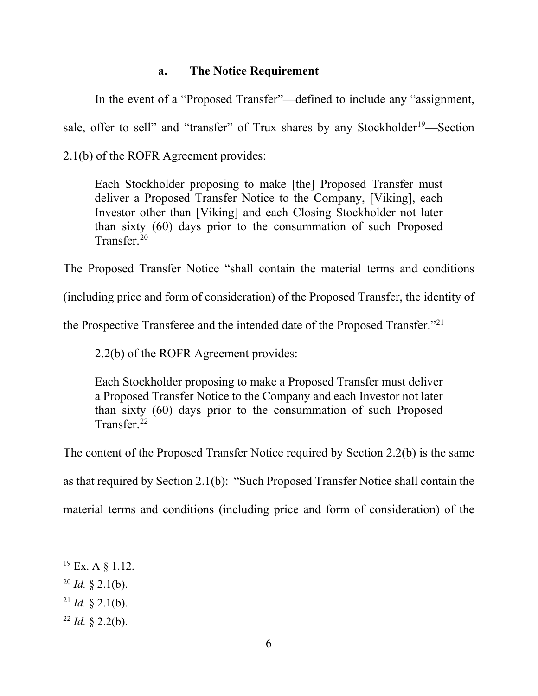# **a. The Notice Requirement**

In the event of a "Proposed Transfer"—defined to include any "assignment, sale, offer to sell" and "transfer" of Trux shares by any Stockholder<sup>19</sup>—Section 2.1(b) of the ROFR Agreement provides:

Each Stockholder proposing to make [the] Proposed Transfer must deliver a Proposed Transfer Notice to the Company, [Viking], each Investor other than [Viking] and each Closing Stockholder not later than sixty (60) days prior to the consummation of such Proposed Transfer<sup>20</sup>

The Proposed Transfer Notice "shall contain the material terms and conditions

(including price and form of consideration) of the Proposed Transfer, the identity of

the Prospective Transferee and the intended date of the Proposed Transfer."<sup>21</sup>

2.2(b) of the ROFR Agreement provides:

Each Stockholder proposing to make a Proposed Transfer must deliver a Proposed Transfer Notice to the Company and each Investor not later than sixty (60) days prior to the consummation of such Proposed Transfer<sup>22</sup>

The content of the Proposed Transfer Notice required by Section 2.2(b) is the same

as that required by Section 2.1(b): "Such Proposed Transfer Notice shall contain the

material terms and conditions (including price and form of consideration) of the

- $^{20}$  *Id.* § 2.1(b).
- <sup>21</sup> *Id.*  $\&$  2.1(b).
- $^{22}$  *Id.* § 2.2(b).

 $19$  Ex. A  $\S$  1.12.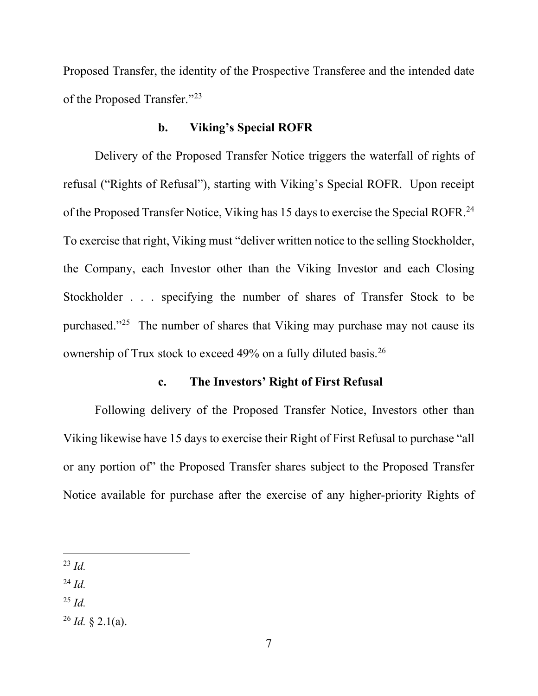Proposed Transfer, the identity of the Prospective Transferee and the intended date of the Proposed Transfer."23

### **b. Viking's Special ROFR**

Delivery of the Proposed Transfer Notice triggers the waterfall of rights of refusal ("Rights of Refusal"), starting with Viking's Special ROFR. Upon receipt of the Proposed Transfer Notice, Viking has 15 days to exercise the Special ROFR.<sup>24</sup> To exercise that right, Viking must "deliver written notice to the selling Stockholder, the Company, each Investor other than the Viking Investor and each Closing Stockholder . . . specifying the number of shares of Transfer Stock to be purchased."25 The number of shares that Viking may purchase may not cause its ownership of Trux stock to exceed 49% on a fully diluted basis.26

### **c. The Investors' Right of First Refusal**

Following delivery of the Proposed Transfer Notice, Investors other than Viking likewise have 15 days to exercise their Right of First Refusal to purchase "all or any portion of" the Proposed Transfer shares subject to the Proposed Transfer Notice available for purchase after the exercise of any higher-priority Rights of

<sup>23</sup> *Id.*

<sup>24</sup> *Id.*

<sup>25</sup> *Id.*

 $^{26}$  *Id.* § 2.1(a).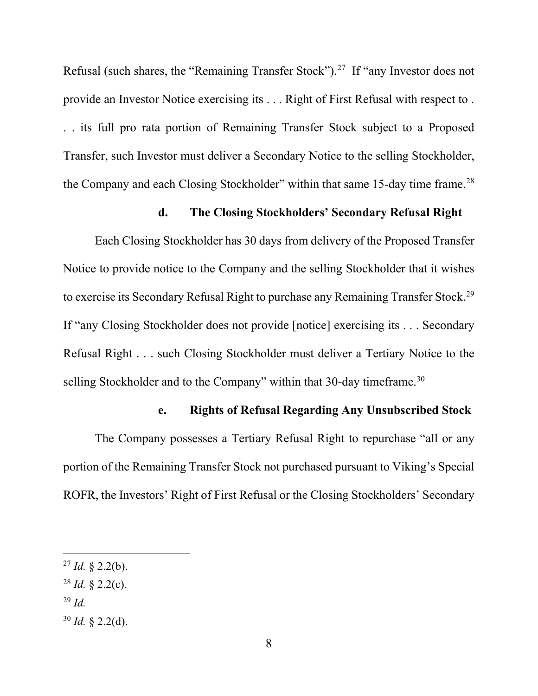Refusal (such shares, the "Remaining Transfer Stock").<sup>27</sup> If "any Investor does not provide an Investor Notice exercising its . . . Right of First Refusal with respect to . . . its full pro rata portion of Remaining Transfer Stock subject to a Proposed Transfer, such Investor must deliver a Secondary Notice to the selling Stockholder, the Company and each Closing Stockholder" within that same 15-day time frame.<sup>28</sup>

# **d. The Closing Stockholders' Secondary Refusal Right**

Each Closing Stockholder has 30 days from delivery of the Proposed Transfer Notice to provide notice to the Company and the selling Stockholder that it wishes to exercise its Secondary Refusal Right to purchase any Remaining Transfer Stock.29 If "any Closing Stockholder does not provide [notice] exercising its . . . Secondary Refusal Right . . . such Closing Stockholder must deliver a Tertiary Notice to the selling Stockholder and to the Company" within that 30-day timeframe.<sup>30</sup>

## **e. Rights of Refusal Regarding Any Unsubscribed Stock**

The Company possesses a Tertiary Refusal Right to repurchase "all or any portion of the Remaining Transfer Stock not purchased pursuant to Viking's Special ROFR, the Investors' Right of First Refusal or the Closing Stockholders' Secondary

- <sup>29</sup> *Id.*
- $30$  *Id.* § 2.2(d).

 $^{27}$  *Id.* § 2.2(b).

 $^{28}$  *Id.* § 2.2(c).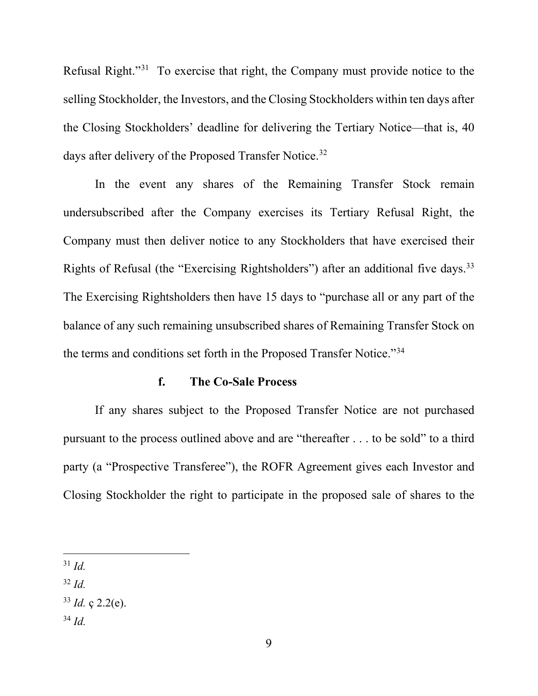Refusal Right."31 To exercise that right, the Company must provide notice to the selling Stockholder, the Investors, and the Closing Stockholders within ten days after the Closing Stockholders' deadline for delivering the Tertiary Notice—that is, 40 days after delivery of the Proposed Transfer Notice.<sup>32</sup>

In the event any shares of the Remaining Transfer Stock remain undersubscribed after the Company exercises its Tertiary Refusal Right, the Company must then deliver notice to any Stockholders that have exercised their Rights of Refusal (the "Exercising Rightsholders") after an additional five days.<sup>33</sup> The Exercising Rightsholders then have 15 days to "purchase all or any part of the balance of any such remaining unsubscribed shares of Remaining Transfer Stock on the terms and conditions set forth in the Proposed Transfer Notice."34

### **f. The Co-Sale Process**

If any shares subject to the Proposed Transfer Notice are not purchased pursuant to the process outlined above and are "thereafter . . . to be sold" to a third party (a "Prospective Transferee"), the ROFR Agreement gives each Investor and Closing Stockholder the right to participate in the proposed sale of shares to the

<sup>31</sup> *Id.*

<sup>32</sup> *Id.*

<sup>34</sup> *Id.*

 $33$  *Id.* c 2.2(e).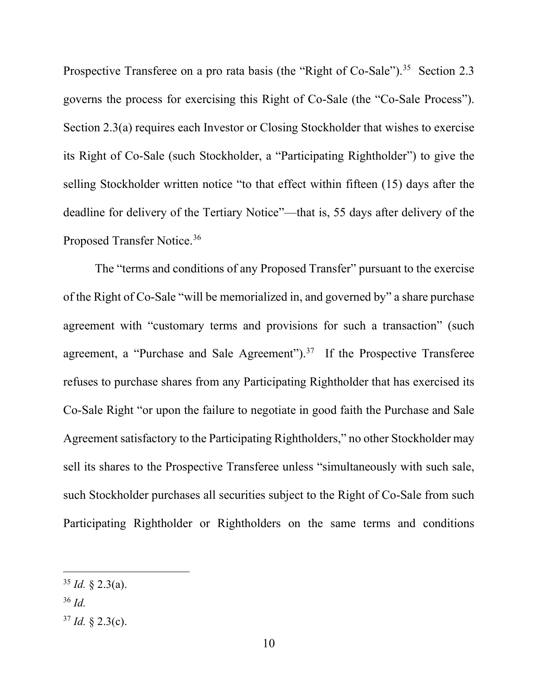Prospective Transferee on a pro rata basis (the "Right of Co-Sale").<sup>35</sup> Section 2.3 governs the process for exercising this Right of Co-Sale (the "Co-Sale Process"). Section 2.3(a) requires each Investor or Closing Stockholder that wishes to exercise its Right of Co-Sale (such Stockholder, a "Participating Rightholder") to give the selling Stockholder written notice "to that effect within fifteen (15) days after the deadline for delivery of the Tertiary Notice"—that is, 55 days after delivery of the Proposed Transfer Notice.36

The "terms and conditions of any Proposed Transfer" pursuant to the exercise of the Right of Co-Sale "will be memorialized in, and governed by" a share purchase agreement with "customary terms and provisions for such a transaction" (such agreement, a "Purchase and Sale Agreement").<sup>37</sup> If the Prospective Transferee refuses to purchase shares from any Participating Rightholder that has exercised its Co-Sale Right "or upon the failure to negotiate in good faith the Purchase and Sale Agreement satisfactory to the Participating Rightholders," no other Stockholder may sell its shares to the Prospective Transferee unless "simultaneously with such sale, such Stockholder purchases all securities subject to the Right of Co-Sale from such Participating Rightholder or Rightholders on the same terms and conditions

 $35$  *Id.* § 2.3(a).

<sup>36</sup> *Id.*

 $37$  *Id.* § 2.3(c).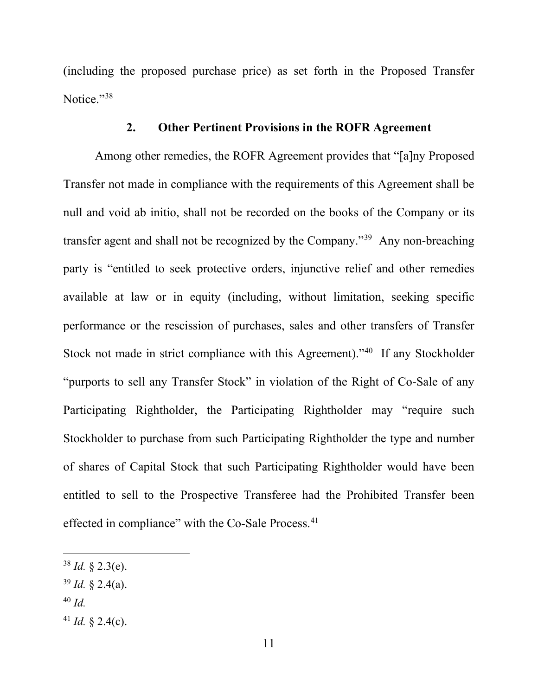(including the proposed purchase price) as set forth in the Proposed Transfer Notice."<sup>38</sup>

### **2. Other Pertinent Provisions in the ROFR Agreement**

Among other remedies, the ROFR Agreement provides that "[a]ny Proposed Transfer not made in compliance with the requirements of this Agreement shall be null and void ab initio, shall not be recorded on the books of the Company or its transfer agent and shall not be recognized by the Company."39 Any non-breaching party is "entitled to seek protective orders, injunctive relief and other remedies available at law or in equity (including, without limitation, seeking specific performance or the rescission of purchases, sales and other transfers of Transfer Stock not made in strict compliance with this Agreement)."40 If any Stockholder "purports to sell any Transfer Stock" in violation of the Right of Co-Sale of any Participating Rightholder, the Participating Rightholder may "require such Stockholder to purchase from such Participating Rightholder the type and number of shares of Capital Stock that such Participating Rightholder would have been entitled to sell to the Prospective Transferee had the Prohibited Transfer been effected in compliance" with the Co-Sale Process.<sup>41</sup>

- <sup>39</sup> *Id.* § 2.4(a).
- <sup>40</sup> *Id.*
- <sup>41</sup> *Id.* § 2.4(c).

 $38$  *Id.* § 2.3(e).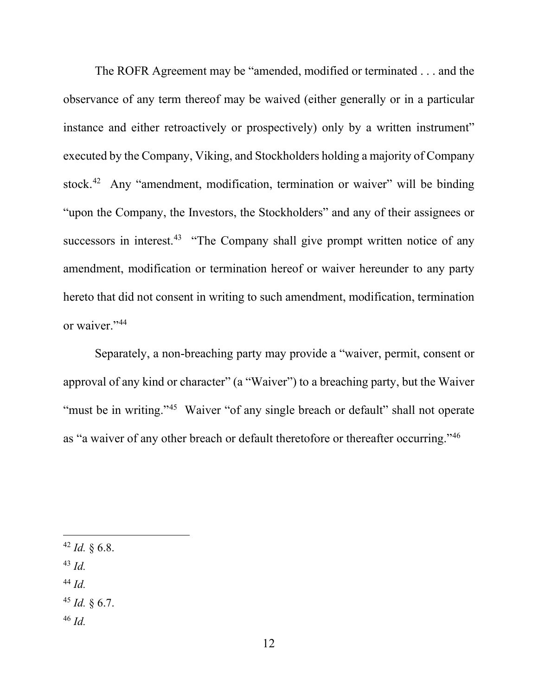The ROFR Agreement may be "amended, modified or terminated . . . and the observance of any term thereof may be waived (either generally or in a particular instance and either retroactively or prospectively) only by a written instrument" executed by the Company, Viking, and Stockholders holding a majority of Company stock.<sup>42</sup> Any "amendment, modification, termination or waiver" will be binding "upon the Company, the Investors, the Stockholders" and any of their assignees or successors in interest.<sup>43</sup> "The Company shall give prompt written notice of any amendment, modification or termination hereof or waiver hereunder to any party hereto that did not consent in writing to such amendment, modification, termination or waiver."<sup>44</sup>

Separately, a non-breaching party may provide a "waiver, permit, consent or approval of any kind or character" (a "Waiver") to a breaching party, but the Waiver "must be in writing."<sup>45</sup> Waiver "of any single breach or default" shall not operate as "a waiver of any other breach or default theretofore or thereafter occurring."46

- <sup>42</sup> *Id.* § 6.8.
- <sup>43</sup> *Id.*
- <sup>44</sup> *Id.*
- <sup>45</sup> *Id.* § 6.7.
- <sup>46</sup> *Id.*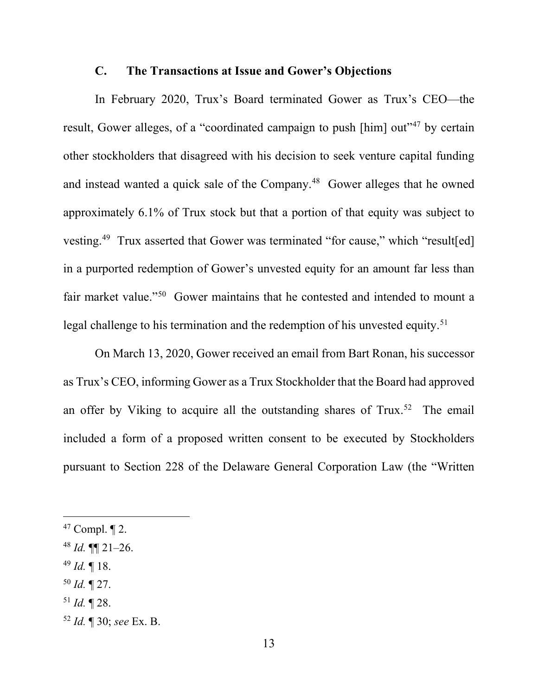#### **C. The Transactions at Issue and Gower's Objections**

In February 2020, Trux's Board terminated Gower as Trux's CEO—the result, Gower alleges, of a "coordinated campaign to push [him] out"<sup>47</sup> by certain other stockholders that disagreed with his decision to seek venture capital funding and instead wanted a quick sale of the Company. <sup>48</sup> Gower alleges that he owned approximately 6.1% of Trux stock but that a portion of that equity was subject to vesting.<sup>49</sup> Trux asserted that Gower was terminated "for cause," which "result[ed] in a purported redemption of Gower's unvested equity for an amount far less than fair market value."<sup>50</sup> Gower maintains that he contested and intended to mount a legal challenge to his termination and the redemption of his unvested equity. 51

On March 13, 2020, Gower received an email from Bart Ronan, his successor as Trux's CEO, informing Gower as a Trux Stockholder that the Board had approved an offer by Viking to acquire all the outstanding shares of  $Trux<sup>52</sup>$  The email included a form of a proposed written consent to be executed by Stockholders pursuant to Section 228 of the Delaware General Corporation Law (the "Written

- <sup>49</sup> *Id.* ¶ 18.
- <sup>50</sup> *Id.* ¶ 27.
- <sup>51</sup> *Id.* ¶ 28.

 $47$  Compl.  $\P$  2.

 $48$  *Id.*  $\P\P$  21–26.

<sup>52</sup> *Id.* ¶ 30; *see* Ex. B.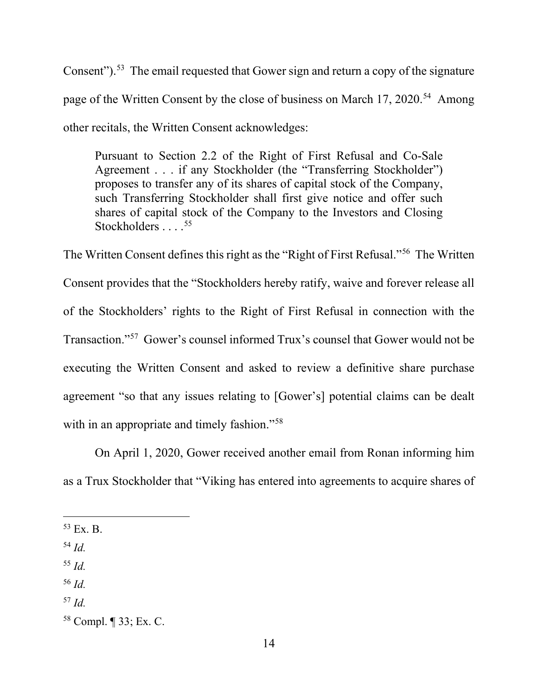Consent").<sup>53</sup> The email requested that Gower sign and return a copy of the signature page of the Written Consent by the close of business on March 17, 2020.<sup>54</sup> Among other recitals, the Written Consent acknowledges:

Pursuant to Section 2.2 of the Right of First Refusal and Co-Sale Agreement . . . if any Stockholder (the "Transferring Stockholder") proposes to transfer any of its shares of capital stock of the Company, such Transferring Stockholder shall first give notice and offer such shares of capital stock of the Company to the Investors and Closing Stockholders . . . . 55

The Written Consent defines this right as the "Right of First Refusal."56 The Written Consent provides that the "Stockholders hereby ratify, waive and forever release all of the Stockholders' rights to the Right of First Refusal in connection with the Transaction."57 Gower's counsel informed Trux's counsel that Gower would not be executing the Written Consent and asked to review a definitive share purchase agreement "so that any issues relating to [Gower's] potential claims can be dealt with in an appropriate and timely fashion."<sup>58</sup>

On April 1, 2020, Gower received another email from Ronan informing him as a Trux Stockholder that "Viking has entered into agreements to acquire shares of

 $53$  Ex. B.

<sup>54</sup> *Id.*

<sup>55</sup> *Id.*

<sup>56</sup> *Id.*

<sup>57</sup> *Id.*

<sup>58</sup> Compl. ¶ 33; Ex. C.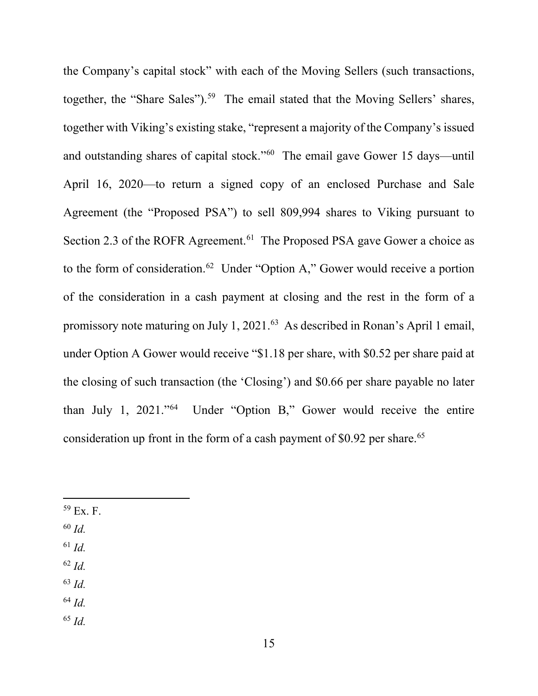the Company's capital stock" with each of the Moving Sellers (such transactions, together, the "Share Sales").<sup>59</sup> The email stated that the Moving Sellers' shares, together with Viking's existing stake, "represent a majority of the Company's issued and outstanding shares of capital stock."60 The email gave Gower 15 days—until April 16, 2020—to return a signed copy of an enclosed Purchase and Sale Agreement (the "Proposed PSA") to sell 809,994 shares to Viking pursuant to Section 2.3 of the ROFR Agreement.<sup>61</sup> The Proposed PSA gave Gower a choice as to the form of consideration.<sup>62</sup> Under "Option A," Gower would receive a portion of the consideration in a cash payment at closing and the rest in the form of a promissory note maturing on July 1, 2021.<sup>63</sup> As described in Ronan's April 1 email, under Option A Gower would receive "\$1.18 per share, with \$0.52 per share paid at the closing of such transaction (the 'Closing') and \$0.66 per share payable no later than July 1, 2021."64 Under "Option B," Gower would receive the entire consideration up front in the form of a cash payment of \$0.92 per share.<sup>65</sup>

- $59$  Ex. F.
- <sup>60</sup> *Id.*
- <sup>61</sup> *Id.*
- <sup>62</sup> *Id.*
- <sup>63</sup> *Id.*
- <sup>64</sup> *Id.*
- <sup>65</sup> *Id.*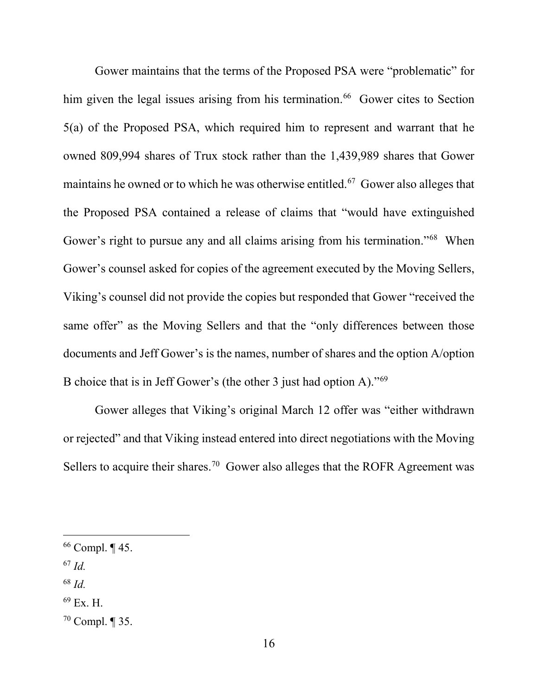Gower maintains that the terms of the Proposed PSA were "problematic" for him given the legal issues arising from his termination.<sup>66</sup> Gower cites to Section 5(a) of the Proposed PSA, which required him to represent and warrant that he owned 809,994 shares of Trux stock rather than the 1,439,989 shares that Gower maintains he owned or to which he was otherwise entitled. 67 Gower also alleges that the Proposed PSA contained a release of claims that "would have extinguished Gower's right to pursue any and all claims arising from his termination."<sup>68</sup> When Gower's counsel asked for copies of the agreement executed by the Moving Sellers, Viking's counsel did not provide the copies but responded that Gower "received the same offer" as the Moving Sellers and that the "only differences between those documents and Jeff Gower's is the names, number of shares and the option A/option B choice that is in Jeff Gower's (the other 3 just had option A)."69

Gower alleges that Viking's original March 12 offer was "either withdrawn or rejected" and that Viking instead entered into direct negotiations with the Moving Sellers to acquire their shares.<sup>70</sup> Gower also alleges that the ROFR Agreement was

- <sup>67</sup> *Id.*
- <sup>68</sup> *Id.*
- <sup>69</sup> Ex. H.

<sup>66</sup> Compl. ¶ 45.

 $70$  Compl.  $\P$  35.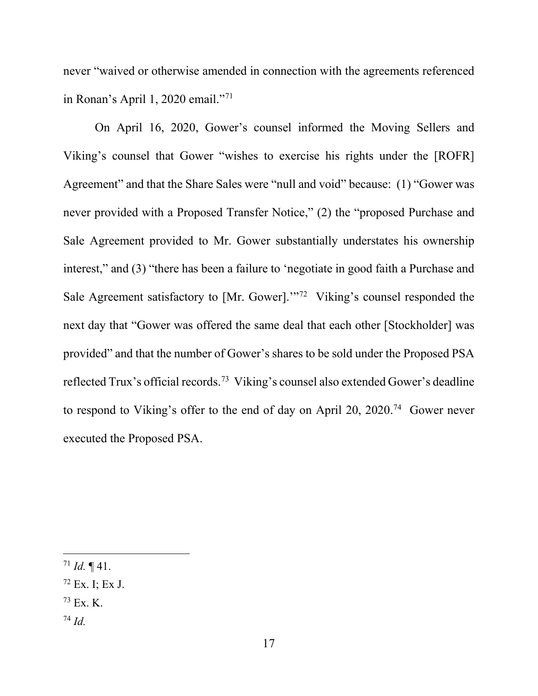never "waived or otherwise amended in connection with the agreements referenced in Ronan's April 1, 2020 email."71

On April 16, 2020, Gower's counsel informed the Moving Sellers and Viking's counsel that Gower "wishes to exercise his rights under the [ROFR] Agreement" and that the Share Sales were "null and void" because: (1) "Gower was never provided with a Proposed Transfer Notice," (2) the "proposed Purchase and Sale Agreement provided to Mr. Gower substantially understates his ownership interest," and (3) "there has been a failure to 'negotiate in good faith a Purchase and Sale Agreement satisfactory to [Mr. Gower]."<sup>72</sup> Viking's counsel responded the next day that "Gower was offered the same deal that each other [Stockholder] was provided" and that the number of Gower's shares to be sold under the Proposed PSA reflected Trux's official records.73 Viking's counsel also extended Gower's deadline to respond to Viking's offer to the end of day on April 20, 2020.74 Gower never executed the Proposed PSA.

- $73$  Ex. K.
- <sup>74</sup> *Id.*

 $71$  *Id.*  $\P$  41.

 $72$  Ex. I; Ex J.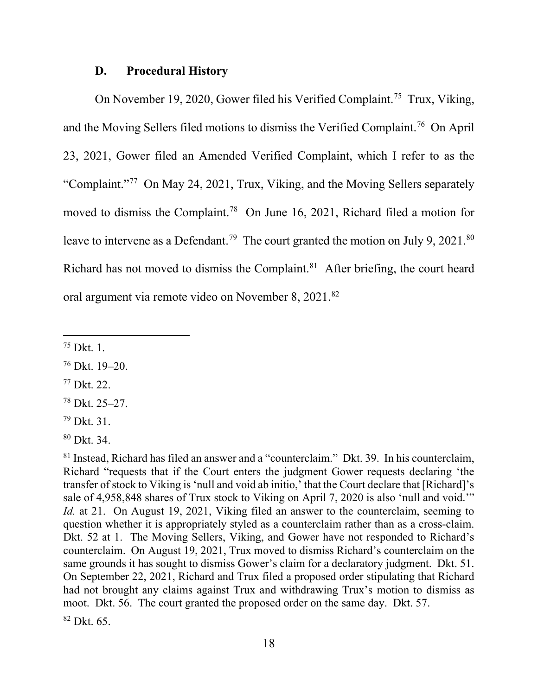### **D. Procedural History**

On November 19, 2020, Gower filed his Verified Complaint.<sup>75</sup> Trux, Viking, and the Moving Sellers filed motions to dismiss the Verified Complaint.76 On April 23, 2021, Gower filed an Amended Verified Complaint, which I refer to as the "Complaint."77 On May 24, 2021, Trux, Viking, and the Moving Sellers separately moved to dismiss the Complaint.78 On June 16, 2021, Richard filed a motion for leave to intervene as a Defendant.<sup>79</sup> The court granted the motion on July 9, 2021.<sup>80</sup> Richard has not moved to dismiss the Complaint.<sup>81</sup> After briefing, the court heard oral argument via remote video on November 8, 2021.<sup>82</sup>

<sup>75</sup> Dkt. 1.

<sup>76</sup> Dkt. 19–20.

<sup>77</sup> Dkt. 22.

<sup>78</sup> Dkt. 25–27.

<sup>79</sup> Dkt. 31.

<sup>80</sup> Dkt. 34.

<sup>81</sup> Instead, Richard has filed an answer and a "counterclaim." Dkt. 39. In his counterclaim, Richard "requests that if the Court enters the judgment Gower requests declaring 'the transfer of stock to Viking is 'null and void ab initio,' that the Court declare that [Richard]'s sale of 4,958,848 shares of Trux stock to Viking on April 7, 2020 is also 'null and void.'" *Id.* at 21. On August 19, 2021, Viking filed an answer to the counterclaim, seeming to question whether it is appropriately styled as a counterclaim rather than as a cross-claim. Dkt. 52 at 1. The Moving Sellers, Viking, and Gower have not responded to Richard's counterclaim. On August 19, 2021, Trux moved to dismiss Richard's counterclaim on the same grounds it has sought to dismiss Gower's claim for a declaratory judgment. Dkt. 51. On September 22, 2021, Richard and Trux filed a proposed order stipulating that Richard had not brought any claims against Trux and withdrawing Trux's motion to dismiss as moot. Dkt. 56. The court granted the proposed order on the same day. Dkt. 57.

 $82$  Dkt. 65.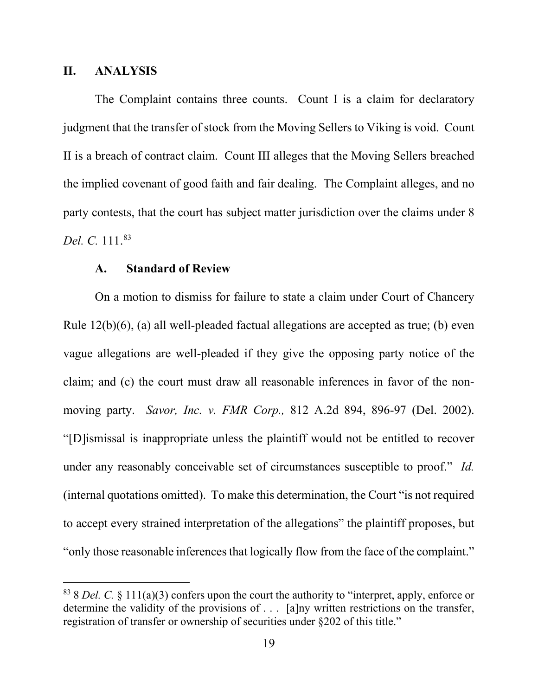### **II. ANALYSIS**

The Complaint contains three counts. Count I is a claim for declaratory judgment that the transfer of stock from the Moving Sellers to Viking is void. Count II is a breach of contract claim. Count III alleges that the Moving Sellers breached the implied covenant of good faith and fair dealing. The Complaint alleges, and no party contests, that the court has subject matter jurisdiction over the claims under 8 *Del. C.* 111.83

### **A. Standard of Review**

On a motion to dismiss for failure to state a claim under Court of Chancery Rule 12(b)(6), (a) all well-pleaded factual allegations are accepted as true; (b) even vague allegations are well-pleaded if they give the opposing party notice of the claim; and (c) the court must draw all reasonable inferences in favor of the nonmoving party. *Savor, Inc. v. FMR Corp.,* 812 A.2d 894, 896-97 (Del. 2002). "[D]ismissal is inappropriate unless the plaintiff would not be entitled to recover under any reasonably conceivable set of circumstances susceptible to proof." *Id.*  (internal quotations omitted). To make this determination, the Court "is not required to accept every strained interpretation of the allegations" the plaintiff proposes, but "only those reasonable inferences that logically flow from the face of the complaint."

<sup>83</sup> 8 *Del. C.* § 111(a)(3) confers upon the court the authority to "interpret, apply, enforce or determine the validity of the provisions of . . . [a]ny written restrictions on the transfer, registration of transfer or ownership of securities under §202 of this title."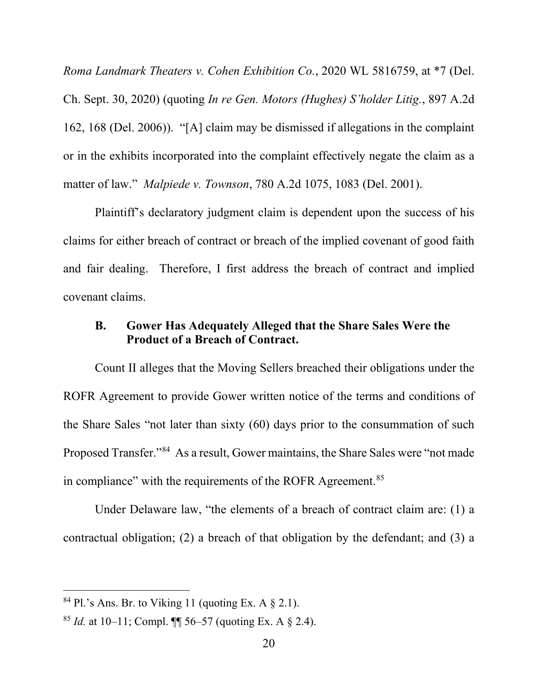*Roma Landmark Theaters v. Cohen Exhibition Co.*, 2020 WL 5816759, at \*7 (Del. Ch. Sept. 30, 2020) (quoting *In re Gen. Motors (Hughes) S'holder Litig.*, 897 A.2d 162, 168 (Del. 2006)). "[A] claim may be dismissed if allegations in the complaint or in the exhibits incorporated into the complaint effectively negate the claim as a matter of law." *Malpiede v. Townson*, 780 A.2d 1075, 1083 (Del. 2001).

Plaintiff's declaratory judgment claim is dependent upon the success of his claims for either breach of contract or breach of the implied covenant of good faith and fair dealing. Therefore, I first address the breach of contract and implied covenant claims.

# **B. Gower Has Adequately Alleged that the Share Sales Were the Product of a Breach of Contract.**

Count II alleges that the Moving Sellers breached their obligations under the ROFR Agreement to provide Gower written notice of the terms and conditions of the Share Sales "not later than sixty (60) days prior to the consummation of such Proposed Transfer."84 As a result, Gower maintains, the Share Sales were "not made in compliance" with the requirements of the ROFR Agreement.<sup>85</sup>

Under Delaware law, "the elements of a breach of contract claim are: (1) a contractual obligation; (2) a breach of that obligation by the defendant; and (3) a

 $84$  Pl.'s Ans. Br. to Viking 11 (quoting Ex. A  $\S$  2.1).

<sup>&</sup>lt;sup>85</sup> *Id.* at 10–11; Compl.  $\P$  56–57 (quoting Ex. A  $\&$  2.4).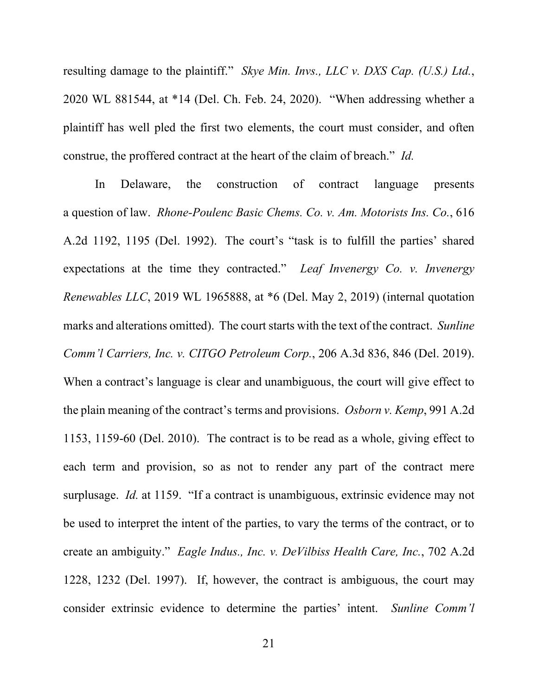resulting damage to the plaintiff." *Skye Min. Invs., LLC v. DXS Cap. (U.S.) Ltd.*, 2020 WL 881544, at \*14 (Del. Ch. Feb. 24, 2020). "When addressing whether a plaintiff has well pled the first two elements, the court must consider, and often construe, the proffered contract at the heart of the claim of breach." *Id.*

In Delaware, the construction of contract language presents a question of law. *Rhone-Poulenc Basic Chems. Co. v. Am. Motorists Ins. Co.*, 616 A.2d 1192, 1195 (Del. 1992). The court's "task is to fulfill the parties' shared expectations at the time they contracted." *Leaf Invenergy Co. v. Invenergy Renewables LLC*, 2019 WL 1965888, at \*6 (Del. May 2, 2019) (internal quotation marks and alterations omitted). The court starts with the text of the contract. *Sunline Comm'l Carriers, Inc. v. CITGO Petroleum Corp.*, 206 A.3d 836, 846 (Del. 2019). When a contract's language is clear and unambiguous, the court will give effect to the plain meaning of the contract's terms and provisions. *Osborn v. Kemp*, 991 A.2d 1153, 1159-60 (Del. 2010). The contract is to be read as a whole, giving effect to each term and provision, so as not to render any part of the contract mere surplusage. *Id.* at 1159. "If a contract is unambiguous, extrinsic evidence may not be used to interpret the intent of the parties, to vary the terms of the contract, or to create an ambiguity." *Eagle Indus., Inc. v. DeVilbiss Health Care, Inc.*, 702 A.2d 1228, 1232 (Del. 1997). If, however, the contract is ambiguous, the court may consider extrinsic evidence to determine the parties' intent. *Sunline Comm'l*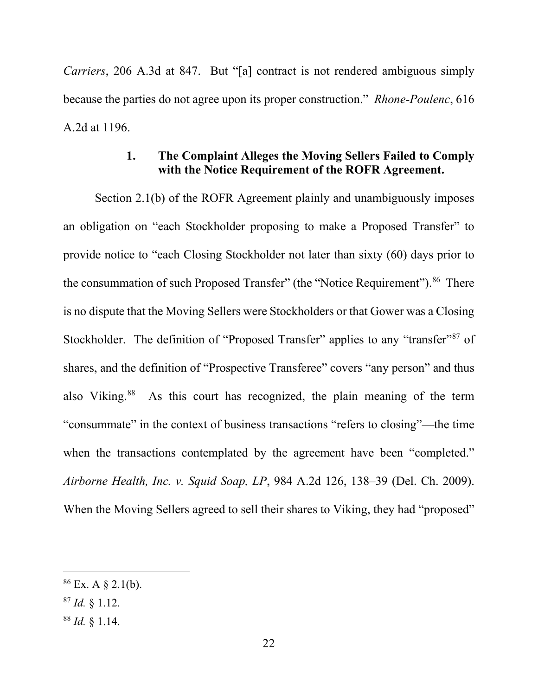*Carriers*, 206 A.3d at 847. But "[a] contract is not rendered ambiguous simply because the parties do not agree upon its proper construction." *Rhone-Poulenc*, 616 A.2d at 1196.

# **1. The Complaint Alleges the Moving Sellers Failed to Comply with the Notice Requirement of the ROFR Agreement.**

Section 2.1(b) of the ROFR Agreement plainly and unambiguously imposes an obligation on "each Stockholder proposing to make a Proposed Transfer" to provide notice to "each Closing Stockholder not later than sixty (60) days prior to the consummation of such Proposed Transfer" (the "Notice Requirement").<sup>86</sup> There is no dispute that the Moving Sellers were Stockholders or that Gower was a Closing Stockholder. The definition of "Proposed Transfer" applies to any "transfer"<sup>87</sup> of shares, and the definition of "Prospective Transferee" covers "any person" and thus also Viking.88 As this court has recognized, the plain meaning of the term "consummate" in the context of business transactions "refers to closing"—the time when the transactions contemplated by the agreement have been "completed." *Airborne Health, Inc. v. Squid Soap, LP*, 984 A.2d 126, 138–39 (Del. Ch. 2009). When the Moving Sellers agreed to sell their shares to Viking, they had "proposed"

 $86$  Ex. A § 2.1(b).

<sup>87</sup> *Id.* § 1.12.

<sup>88</sup> *Id.* § 1.14.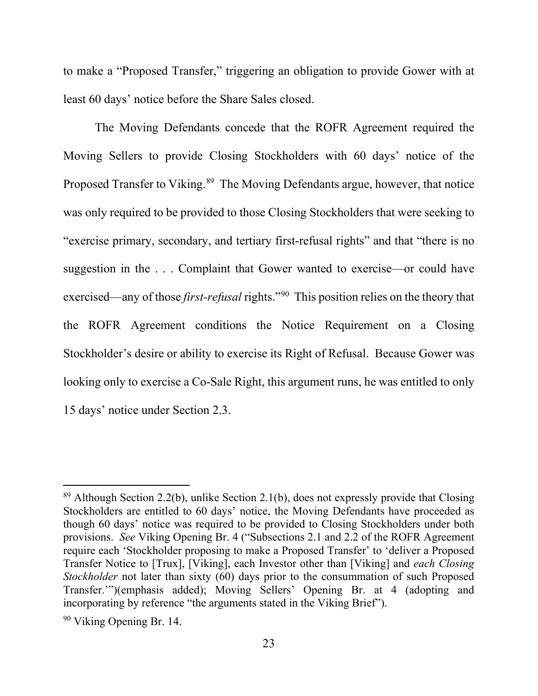to make a "Proposed Transfer," triggering an obligation to provide Gower with at least 60 days' notice before the Share Sales closed.

The Moving Defendants concede that the ROFR Agreement required the Moving Sellers to provide Closing Stockholders with 60 days' notice of the Proposed Transfer to Viking.<sup>89</sup> The Moving Defendants argue, however, that notice was only required to be provided to those Closing Stockholders that were seeking to "exercise primary, secondary, and tertiary first-refusal rights" and that "there is no suggestion in the . . . Complaint that Gower wanted to exercise—or could have exercised—any of those *first-refusal* rights."90 This position relies on the theory that the ROFR Agreement conditions the Notice Requirement on a Closing Stockholder's desire or ability to exercise its Right of Refusal. Because Gower was looking only to exercise a Co-Sale Right, this argument runs, he was entitled to only 15 days' notice under Section 2.3.

<sup>89</sup> Although Section 2.2(b), unlike Section 2.1(b), does not expressly provide that Closing Stockholders are entitled to 60 days' notice, the Moving Defendants have proceeded as though 60 days' notice was required to be provided to Closing Stockholders under both provisions. *See* Viking Opening Br. 4 ("Subsections 2.1 and 2.2 of the ROFR Agreement require each 'Stockholder proposing to make a Proposed Transfer' to 'deliver a Proposed Transfer Notice to [Trux], [Viking], each Investor other than [Viking] and *each Closing Stockholder* not later than sixty (60) days prior to the consummation of such Proposed Transfer.'")(emphasis added); Moving Sellers' Opening Br. at 4 (adopting and incorporating by reference "the arguments stated in the Viking Brief").

<sup>90</sup> Viking Opening Br. 14.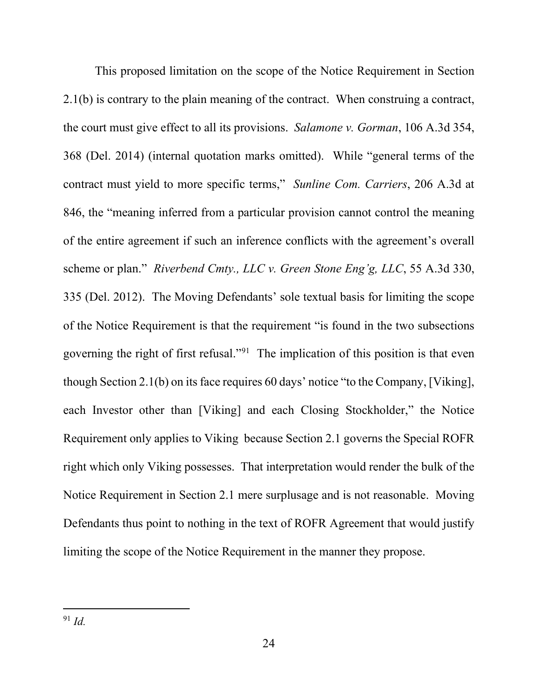This proposed limitation on the scope of the Notice Requirement in Section 2.1(b) is contrary to the plain meaning of the contract. When construing a contract, the court must give effect to all its provisions. *Salamone v. Gorman*, 106 A.3d 354, 368 (Del. 2014) (internal quotation marks omitted). While "general terms of the contract must yield to more specific terms," *Sunline Com. Carriers*, 206 A.3d at 846, the "meaning inferred from a particular provision cannot control the meaning of the entire agreement if such an inference conflicts with the agreement's overall scheme or plan." *Riverbend Cmty., LLC v. Green Stone Eng'g, LLC*, 55 A.3d 330, 335 (Del. 2012). The Moving Defendants' sole textual basis for limiting the scope of the Notice Requirement is that the requirement "is found in the two subsections governing the right of first refusal."91 The implication of this position is that even though Section 2.1(b) on its face requires 60 days' notice "to the Company, [Viking], each Investor other than [Viking] and each Closing Stockholder," the Notice Requirement only applies to Viking because Section 2.1 governs the Special ROFR right which only Viking possesses. That interpretation would render the bulk of the Notice Requirement in Section 2.1 mere surplusage and is not reasonable. Moving Defendants thus point to nothing in the text of ROFR Agreement that would justify limiting the scope of the Notice Requirement in the manner they propose.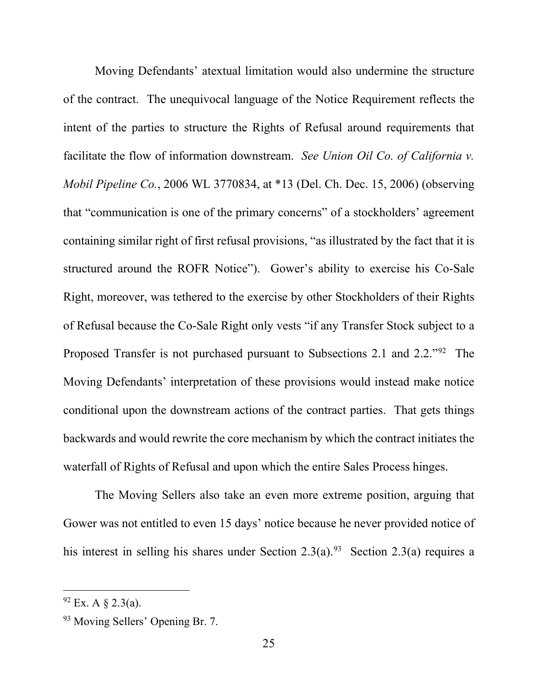Moving Defendants' atextual limitation would also undermine the structure of the contract. The unequivocal language of the Notice Requirement reflects the intent of the parties to structure the Rights of Refusal around requirements that facilitate the flow of information downstream. *See Union Oil Co. of California v. Mobil Pipeline Co.*, 2006 WL 3770834, at \*13 (Del. Ch. Dec. 15, 2006) (observing that "communication is one of the primary concerns" of a stockholders' agreement containing similar right of first refusal provisions, "as illustrated by the fact that it is structured around the ROFR Notice"). Gower's ability to exercise his Co-Sale Right, moreover, was tethered to the exercise by other Stockholders of their Rights of Refusal because the Co-Sale Right only vests "if any Transfer Stock subject to a Proposed Transfer is not purchased pursuant to Subsections 2.1 and 2.2."92 The Moving Defendants' interpretation of these provisions would instead make notice conditional upon the downstream actions of the contract parties. That gets things backwards and would rewrite the core mechanism by which the contract initiates the waterfall of Rights of Refusal and upon which the entire Sales Process hinges.

The Moving Sellers also take an even more extreme position, arguing that Gower was not entitled to even 15 days' notice because he never provided notice of his interest in selling his shares under Section 2.3(a).<sup>93</sup> Section 2.3(a) requires a

 $92$  Ex. A  $\S$  2.3(a).

<sup>93</sup> Moving Sellers' Opening Br. 7.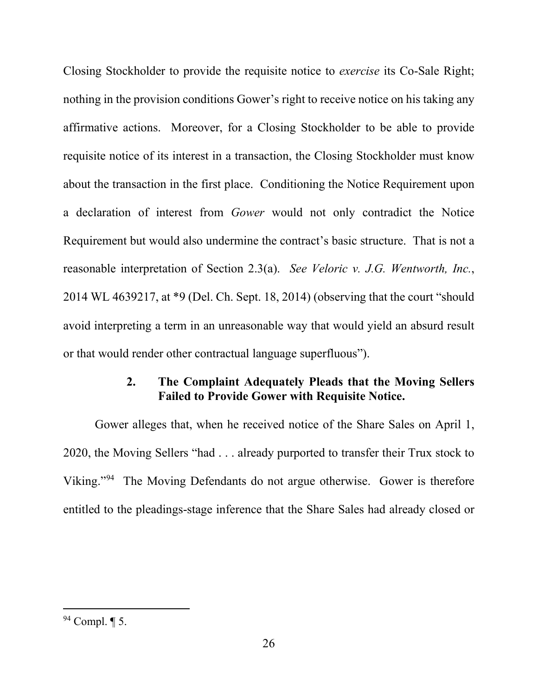Closing Stockholder to provide the requisite notice to *exercise* its Co-Sale Right; nothing in the provision conditions Gower's right to receive notice on his taking any affirmative actions. Moreover, for a Closing Stockholder to be able to provide requisite notice of its interest in a transaction, the Closing Stockholder must know about the transaction in the first place. Conditioning the Notice Requirement upon a declaration of interest from *Gower* would not only contradict the Notice Requirement but would also undermine the contract's basic structure. That is not a reasonable interpretation of Section 2.3(a). *See Veloric v. J.G. Wentworth, Inc.*, 2014 WL 4639217, at \*9 (Del. Ch. Sept. 18, 2014) (observing that the court "should avoid interpreting a term in an unreasonable way that would yield an absurd result or that would render other contractual language superfluous").

# **2. The Complaint Adequately Pleads that the Moving Sellers Failed to Provide Gower with Requisite Notice.**

Gower alleges that, when he received notice of the Share Sales on April 1, 2020, the Moving Sellers "had . . . already purported to transfer their Trux stock to Viking."94 The Moving Defendants do not argue otherwise. Gower is therefore entitled to the pleadings-stage inference that the Share Sales had already closed or

 $94$  Compl.  $\P$  5.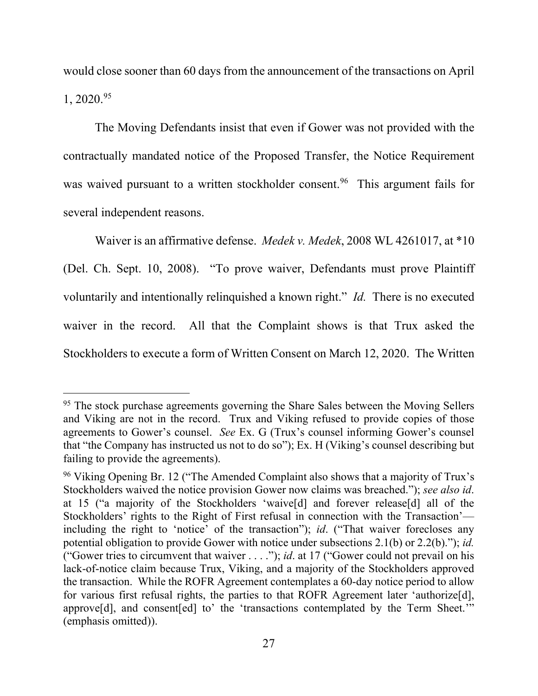would close sooner than 60 days from the announcement of the transactions on April  $1, 2020^{95}$ 

The Moving Defendants insist that even if Gower was not provided with the contractually mandated notice of the Proposed Transfer, the Notice Requirement was waived pursuant to a written stockholder consent.<sup>96</sup> This argument fails for several independent reasons.

Waiver is an affirmative defense. *Medek v. Medek*, 2008 WL 4261017, at \*10 (Del. Ch. Sept. 10, 2008). "To prove waiver, Defendants must prove Plaintiff voluntarily and intentionally relinquished a known right." *Id.* There is no executed waiver in the record. All that the Complaint shows is that Trux asked the Stockholders to execute a form of Written Consent on March 12, 2020. The Written

<sup>&</sup>lt;sup>95</sup> The stock purchase agreements governing the Share Sales between the Moving Sellers and Viking are not in the record. Trux and Viking refused to provide copies of those agreements to Gower's counsel. *See* Ex. G (Trux's counsel informing Gower's counsel that "the Company has instructed us not to do so"); Ex. H (Viking's counsel describing but failing to provide the agreements).

<sup>&</sup>lt;sup>96</sup> Viking Opening Br. 12 ("The Amended Complaint also shows that a majority of Trux's Stockholders waived the notice provision Gower now claims was breached."); *see also id*. at 15 ("a majority of the Stockholders 'waive[d] and forever release[d] all of the Stockholders' rights to the Right of First refusal in connection with the Transaction' including the right to 'notice' of the transaction"); *id*. ("That waiver forecloses any potential obligation to provide Gower with notice under subsections 2.1(b) or 2.2(b)."); *id.* ("Gower tries to circumvent that waiver . . . ."); *id*. at 17 ("Gower could not prevail on his lack-of-notice claim because Trux, Viking, and a majority of the Stockholders approved the transaction. While the ROFR Agreement contemplates a 60-day notice period to allow for various first refusal rights, the parties to that ROFR Agreement later 'authorize[d], approve[d], and consent[ed] to' the 'transactions contemplated by the Term Sheet.'" (emphasis omitted)).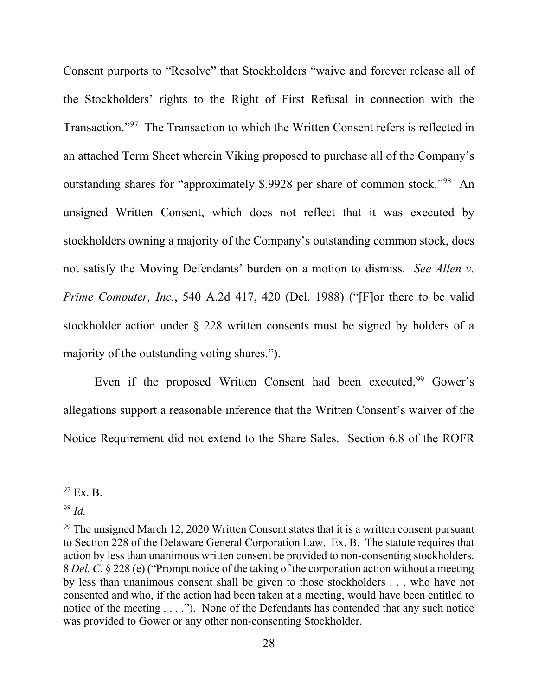Consent purports to "Resolve" that Stockholders "waive and forever release all of the Stockholders' rights to the Right of First Refusal in connection with the Transaction."97 The Transaction to which the Written Consent refers is reflected in an attached Term Sheet wherein Viking proposed to purchase all of the Company's outstanding shares for "approximately \$.9928 per share of common stock."98 An unsigned Written Consent, which does not reflect that it was executed by stockholders owning a majority of the Company's outstanding common stock, does not satisfy the Moving Defendants' burden on a motion to dismiss. *See Allen v. Prime Computer, Inc.*, 540 A.2d 417, 420 (Del. 1988) ("[F]or there to be valid stockholder action under § 228 written consents must be signed by holders of a majority of the outstanding voting shares.").

Even if the proposed Written Consent had been executed, <sup>99</sup> Gower's allegations support a reasonable inference that the Written Consent's waiver of the Notice Requirement did not extend to the Share Sales. Section 6.8 of the ROFR

 $97$  Ex. B.

<sup>98</sup> *Id.*

 $99$  The unsigned March 12, 2020 Written Consent states that it is a written consent pursuant to Section 228 of the Delaware General Corporation Law. Ex. B. The statute requires that action by less than unanimous written consent be provided to non-consenting stockholders. 8 *Del. C.* § 228 (e) ("Prompt notice of the taking of the corporation action without a meeting by less than unanimous consent shall be given to those stockholders . . . who have not consented and who, if the action had been taken at a meeting, would have been entitled to notice of the meeting . . . ."). None of the Defendants has contended that any such notice was provided to Gower or any other non-consenting Stockholder.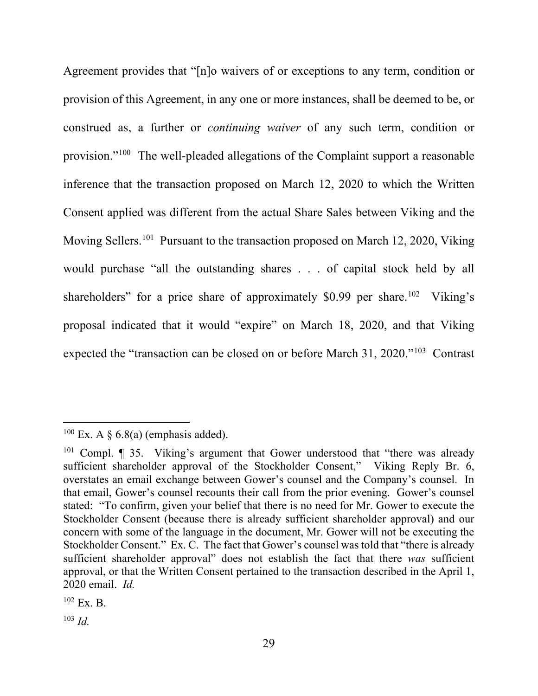Agreement provides that "[n]o waivers of or exceptions to any term, condition or provision of this Agreement, in any one or more instances, shall be deemed to be, or construed as, a further or *continuing waiver* of any such term, condition or provision."100 The well-pleaded allegations of the Complaint support a reasonable inference that the transaction proposed on March 12, 2020 to which the Written Consent applied was different from the actual Share Sales between Viking and the Moving Sellers.<sup>101</sup> Pursuant to the transaction proposed on March 12, 2020, Viking would purchase "all the outstanding shares . . . of capital stock held by all shareholders" for a price share of approximately \$0.99 per share.<sup>102</sup> Viking's proposal indicated that it would "expire" on March 18, 2020, and that Viking expected the "transaction can be closed on or before March 31, 2020."103 Contrast

<sup>&</sup>lt;sup>100</sup> Ex. A  $\delta$  6.8(a) (emphasis added).

<sup>&</sup>lt;sup>101</sup> Compl.  $\parallel$  35. Viking's argument that Gower understood that "there was already" sufficient shareholder approval of the Stockholder Consent," Viking Reply Br. 6, overstates an email exchange between Gower's counsel and the Company's counsel. In that email, Gower's counsel recounts their call from the prior evening. Gower's counsel stated: "To confirm, given your belief that there is no need for Mr. Gower to execute the Stockholder Consent (because there is already sufficient shareholder approval) and our concern with some of the language in the document, Mr. Gower will not be executing the Stockholder Consent." Ex. C. The fact that Gower's counsel was told that "there is already sufficient shareholder approval" does not establish the fact that there *was* sufficient approval, or that the Written Consent pertained to the transaction described in the April 1, 2020 email. *Id.*

 $102$  Ex. B.

 $103$  *Id.*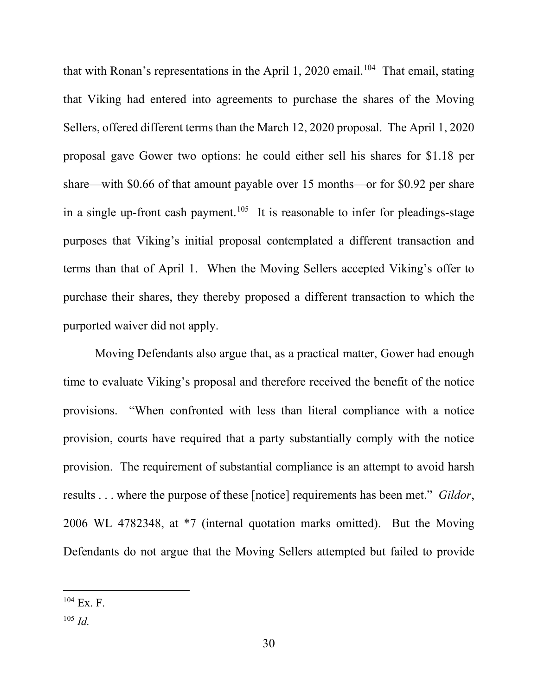that with Ronan's representations in the April 1, 2020 email.<sup>104</sup> That email, stating that Viking had entered into agreements to purchase the shares of the Moving Sellers, offered different terms than the March 12, 2020 proposal. The April 1, 2020 proposal gave Gower two options: he could either sell his shares for \$1.18 per share—with \$0.66 of that amount payable over 15 months—or for \$0.92 per share in a single up-front cash payment.<sup>105</sup> It is reasonable to infer for pleadings-stage purposes that Viking's initial proposal contemplated a different transaction and terms than that of April 1. When the Moving Sellers accepted Viking's offer to purchase their shares, they thereby proposed a different transaction to which the purported waiver did not apply.

Moving Defendants also argue that, as a practical matter, Gower had enough time to evaluate Viking's proposal and therefore received the benefit of the notice provisions. "When confronted with less than literal compliance with a notice provision, courts have required that a party substantially comply with the notice provision. The requirement of substantial compliance is an attempt to avoid harsh results . . . where the purpose of these [notice] requirements has been met." *Gildor*, 2006 WL 4782348, at \*7 (internal quotation marks omitted). But the Moving Defendants do not argue that the Moving Sellers attempted but failed to provide

<sup>104</sup> Ex. F.

<sup>105</sup> *Id.*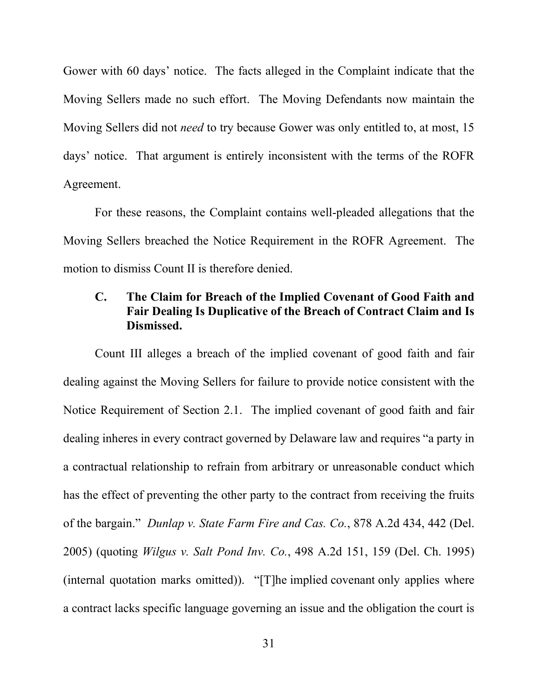Gower with 60 days' notice. The facts alleged in the Complaint indicate that the Moving Sellers made no such effort. The Moving Defendants now maintain the Moving Sellers did not *need* to try because Gower was only entitled to, at most, 15 days' notice. That argument is entirely inconsistent with the terms of the ROFR Agreement.

For these reasons, the Complaint contains well-pleaded allegations that the Moving Sellers breached the Notice Requirement in the ROFR Agreement. The motion to dismiss Count II is therefore denied.

# **C. The Claim for Breach of the Implied Covenant of Good Faith and Fair Dealing Is Duplicative of the Breach of Contract Claim and Is Dismissed.**

Count III alleges a breach of the implied covenant of good faith and fair dealing against the Moving Sellers for failure to provide notice consistent with the Notice Requirement of Section 2.1. The implied covenant of good faith and fair dealing inheres in every contract governed by Delaware law and requires "a party in a contractual relationship to refrain from arbitrary or unreasonable conduct which has the effect of preventing the other party to the contract from receiving the fruits of the bargain." *Dunlap v. State Farm Fire and Cas. Co.*, 878 A.2d 434, 442 (Del. 2005) (quoting *Wilgus v. Salt Pond Inv. Co.*, 498 A.2d 151, 159 (Del. Ch. 1995) (internal quotation marks omitted)). "[T]he implied covenant only applies where a contract lacks specific language governing an issue and the obligation the court is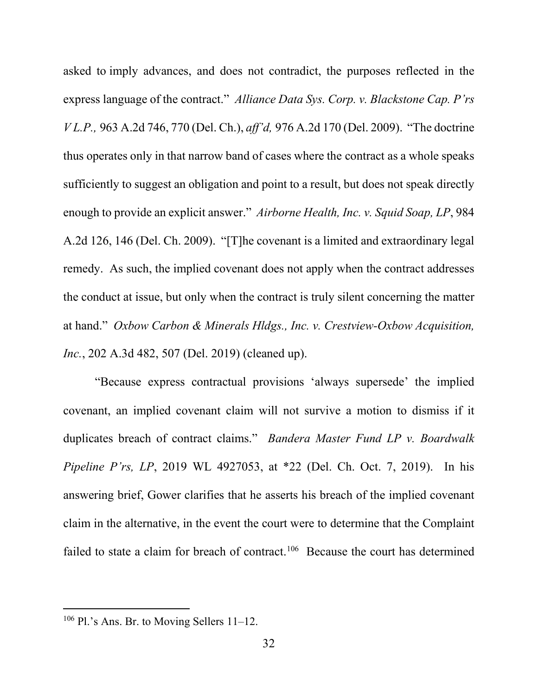asked to imply advances, and does not contradict, the purposes reflected in the express language of the contract." *Alliance Data Sys. Corp. v. Blackstone Cap. P'rs V L.P.,* 963 A.2d 746, 770 (Del. Ch.), *aff'd,* 976 A.2d 170 (Del. 2009). "The doctrine thus operates only in that narrow band of cases where the contract as a whole speaks sufficiently to suggest an obligation and point to a result, but does not speak directly enough to provide an explicit answer." *Airborne Health, Inc. v. Squid Soap, LP*, 984 A.2d 126, 146 (Del. Ch. 2009). "[T]he covenant is a limited and extraordinary legal remedy. As such, the implied covenant does not apply when the contract addresses the conduct at issue, but only when the contract is truly silent concerning the matter at hand." *Oxbow Carbon & Minerals Hldgs., Inc. v. Crestview-Oxbow Acquisition, Inc.*, 202 A.3d 482, 507 (Del. 2019) (cleaned up).

"Because express contractual provisions 'always supersede' the implied covenant, an implied covenant claim will not survive a motion to dismiss if it duplicates breach of contract claims." *Bandera Master Fund LP v. Boardwalk Pipeline P'rs, LP*, 2019 WL 4927053, at \*22 (Del. Ch. Oct. 7, 2019). In his answering brief, Gower clarifies that he asserts his breach of the implied covenant claim in the alternative, in the event the court were to determine that the Complaint failed to state a claim for breach of contract.<sup>106</sup> Because the court has determined

 $106$  Pl.'s Ans. Br. to Moving Sellers 11–12.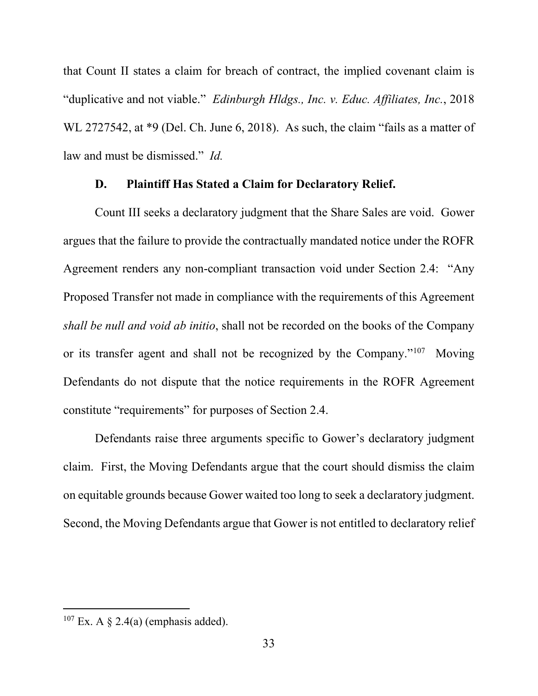that Count II states a claim for breach of contract, the implied covenant claim is "duplicative and not viable." *Edinburgh Hldgs., Inc. v. Educ. Affiliates, Inc.*, 2018 WL 2727542, at \*9 (Del. Ch. June 6, 2018). As such, the claim "fails as a matter of law and must be dismissed." *Id.*

### **D. Plaintiff Has Stated a Claim for Declaratory Relief.**

Count III seeks a declaratory judgment that the Share Sales are void. Gower argues that the failure to provide the contractually mandated notice under the ROFR Agreement renders any non-compliant transaction void under Section 2.4: "Any Proposed Transfer not made in compliance with the requirements of this Agreement *shall be null and void ab initio*, shall not be recorded on the books of the Company or its transfer agent and shall not be recognized by the Company."<sup>107</sup> Moving Defendants do not dispute that the notice requirements in the ROFR Agreement constitute "requirements" for purposes of Section 2.4.

Defendants raise three arguments specific to Gower's declaratory judgment claim. First, the Moving Defendants argue that the court should dismiss the claim on equitable grounds because Gower waited too long to seek a declaratory judgment. Second, the Moving Defendants argue that Gower is not entitled to declaratory relief

<sup>&</sup>lt;sup>107</sup> Ex. A  $\S$  2.4(a) (emphasis added).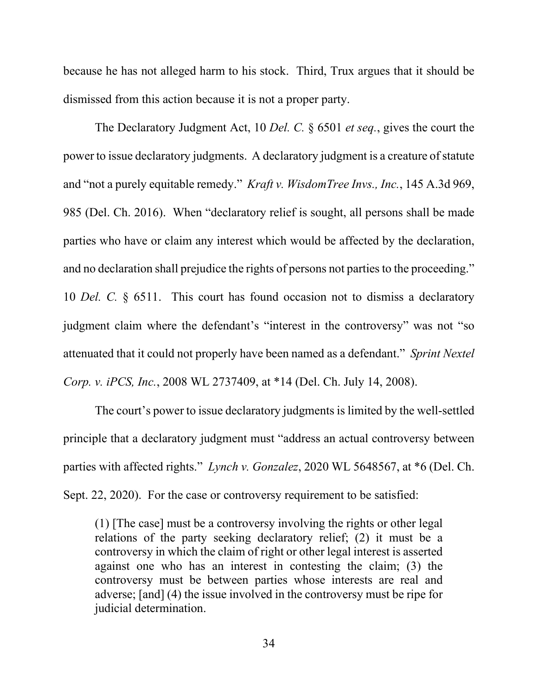because he has not alleged harm to his stock. Third, Trux argues that it should be dismissed from this action because it is not a proper party.

The Declaratory Judgment Act, 10 *Del. C.* § 6501 *et seq.*, gives the court the power to issue declaratory judgments. A declaratory judgment is a creature of statute and "not a purely equitable remedy." *Kraft v. WisdomTree Invs., Inc.*, 145 A.3d 969, 985 (Del. Ch. 2016). When "declaratory relief is sought, all persons shall be made parties who have or claim any interest which would be affected by the declaration, and no declaration shall prejudice the rights of persons not parties to the proceeding." 10 *Del. C.* § 6511. This court has found occasion not to dismiss a declaratory judgment claim where the defendant's "interest in the controversy" was not "so attenuated that it could not properly have been named as a defendant." *Sprint Nextel Corp. v. iPCS, Inc.*, 2008 WL 2737409, at \*14 (Del. Ch. July 14, 2008).

The court's power to issue declaratory judgments is limited by the well-settled principle that a declaratory judgment must "address an actual controversy between parties with affected rights." *Lynch v. Gonzalez*, 2020 WL 5648567, at \*6 (Del. Ch. Sept. 22, 2020). For the case or controversy requirement to be satisfied:

(1) [The case] must be a controversy involving the rights or other legal relations of the party seeking declaratory relief; (2) it must be a controversy in which the claim of right or other legal interest is asserted against one who has an interest in contesting the claim; (3) the controversy must be between parties whose interests are real and adverse; [and] (4) the issue involved in the controversy must be ripe for judicial determination.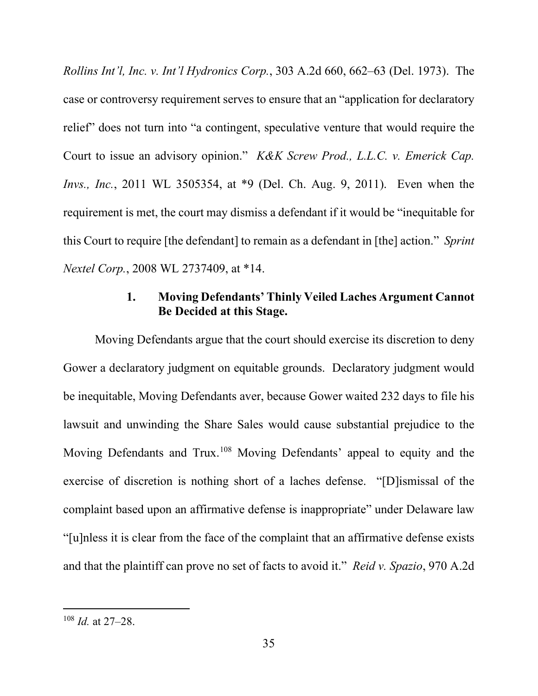*Rollins Int'l, Inc. v. Int'l Hydronics Corp.*, 303 A.2d 660, 662–63 (Del. 1973). The case or controversy requirement serves to ensure that an "application for declaratory relief" does not turn into "a contingent, speculative venture that would require the Court to issue an advisory opinion." *K&K Screw Prod., L.L.C. v. Emerick Cap. Invs., Inc.*, 2011 WL 3505354, at \*9 (Del. Ch. Aug. 9, 2011). Even when the requirement is met, the court may dismiss a defendant if it would be "inequitable for this Court to require [the defendant] to remain as a defendant in [the] action." *Sprint Nextel Corp.*, 2008 WL 2737409, at \*14.

# **1. Moving Defendants' Thinly Veiled Laches Argument Cannot Be Decided at this Stage.**

Moving Defendants argue that the court should exercise its discretion to deny Gower a declaratory judgment on equitable grounds. Declaratory judgment would be inequitable, Moving Defendants aver, because Gower waited 232 days to file his lawsuit and unwinding the Share Sales would cause substantial prejudice to the Moving Defendants and Trux.<sup>108</sup> Moving Defendants' appeal to equity and the exercise of discretion is nothing short of a laches defense. "[D]ismissal of the complaint based upon an affirmative defense is inappropriate" under Delaware law "[u]nless it is clear from the face of the complaint that an affirmative defense exists and that the plaintiff can prove no set of facts to avoid it." *Reid v. Spazio*, 970 A.2d

<sup>108</sup> *Id.* at 27–28.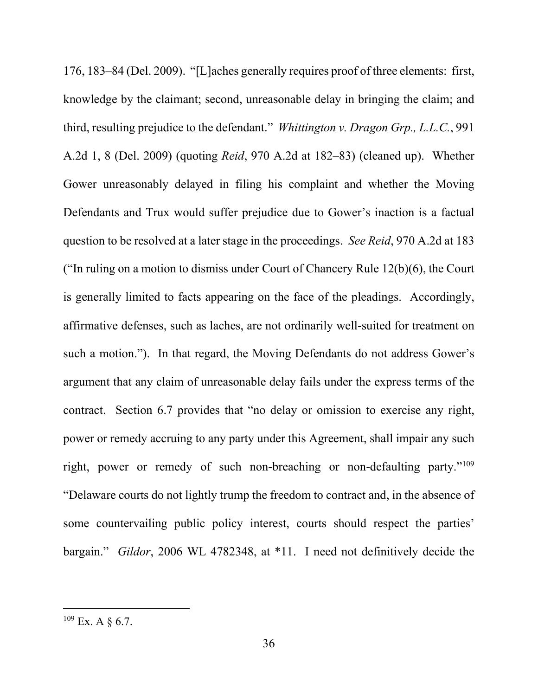176, 183–84 (Del. 2009). "[L]aches generally requires proof of three elements: first, knowledge by the claimant; second, unreasonable delay in bringing the claim; and third, resulting prejudice to the defendant." *Whittington v. Dragon Grp., L.L.C.*, 991 A.2d 1, 8 (Del. 2009) (quoting *Reid*, 970 A.2d at 182–83) (cleaned up). Whether Gower unreasonably delayed in filing his complaint and whether the Moving Defendants and Trux would suffer prejudice due to Gower's inaction is a factual question to be resolved at a later stage in the proceedings. *See Reid*, 970 A.2d at 183 ("In ruling on a motion to dismiss under Court of Chancery Rule 12(b)(6), the Court is generally limited to facts appearing on the face of the pleadings. Accordingly, affirmative defenses, such as laches, are not ordinarily well-suited for treatment on such a motion.").In that regard, the Moving Defendants do not address Gower's argument that any claim of unreasonable delay fails under the express terms of the contract. Section 6.7 provides that "no delay or omission to exercise any right, power or remedy accruing to any party under this Agreement, shall impair any such right, power or remedy of such non-breaching or non-defaulting party."109 "Delaware courts do not lightly trump the freedom to contract and, in the absence of some countervailing public policy interest, courts should respect the parties' bargain." *Gildor*, 2006 WL 4782348, at \*11. I need not definitively decide the

 $109$  Ex. A  $\delta$  6.7.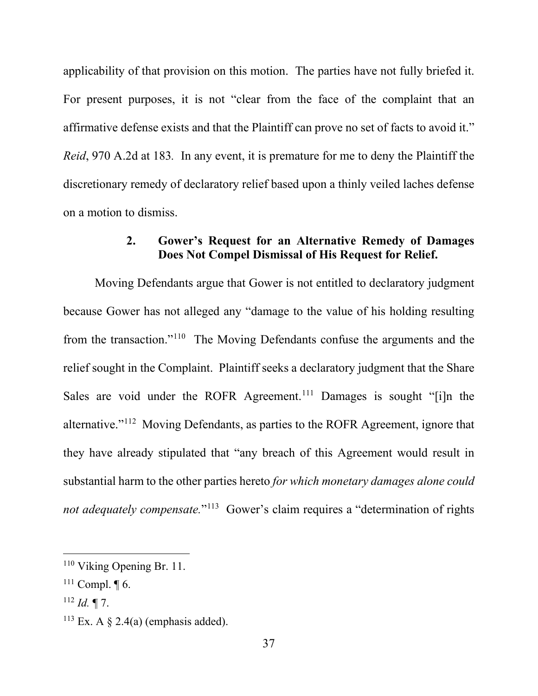applicability of that provision on this motion. The parties have not fully briefed it. For present purposes, it is not "clear from the face of the complaint that an affirmative defense exists and that the Plaintiff can prove no set of facts to avoid it." *Reid*, 970 A.2d at 183*.* In any event, it is premature for me to deny the Plaintiff the discretionary remedy of declaratory relief based upon a thinly veiled laches defense on a motion to dismiss.

# **2. Gower's Request for an Alternative Remedy of Damages Does Not Compel Dismissal of His Request for Relief.**

Moving Defendants argue that Gower is not entitled to declaratory judgment because Gower has not alleged any "damage to the value of his holding resulting from the transaction."110 The Moving Defendants confuse the arguments and the relief sought in the Complaint. Plaintiff seeks a declaratory judgment that the Share Sales are void under the ROFR Agreement.<sup>111</sup> Damages is sought "[i]n the alternative."112 Moving Defendants, as parties to the ROFR Agreement, ignore that they have already stipulated that "any breach of this Agreement would result in substantial harm to the other parties hereto *for which monetary damages alone could not adequately compensate.*"<sup>113</sup> Gower's claim requires a "determination of rights

<sup>110</sup> Viking Opening Br. 11.

 $111$  Compl.  $\P$  6.

 $^{112}$  *Id.* ¶ 7.

<sup>&</sup>lt;sup>113</sup> Ex. A  $\S$  2.4(a) (emphasis added).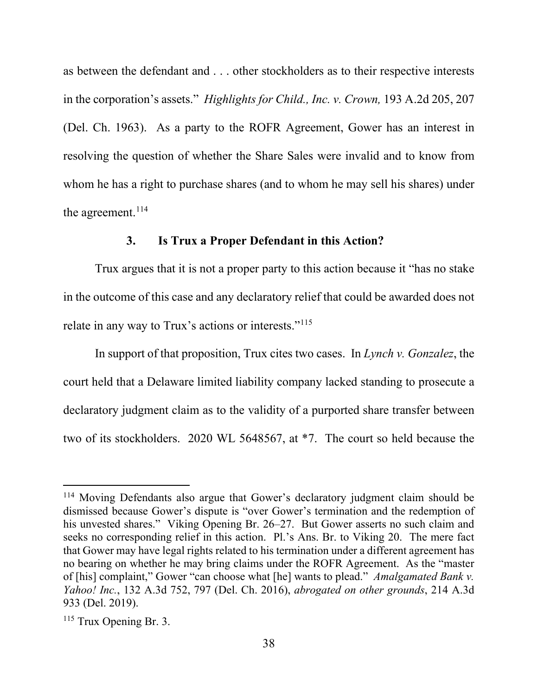as between the defendant and . . . other stockholders as to their respective interests in the corporation's assets." *Highlights for Child., Inc. v. Crown,* 193 A.2d 205, 207 (Del. Ch. 1963). As a party to the ROFR Agreement, Gower has an interest in resolving the question of whether the Share Sales were invalid and to know from whom he has a right to purchase shares (and to whom he may sell his shares) under the agreement.<sup>114</sup>

## **3. Is Trux a Proper Defendant in this Action?**

Trux argues that it is not a proper party to this action because it "has no stake in the outcome of this case and any declaratory relief that could be awarded does not relate in any way to Trux's actions or interests."<sup>115</sup>

In support of that proposition, Trux cites two cases. In *Lynch v. Gonzalez*, the court held that a Delaware limited liability company lacked standing to prosecute a declaratory judgment claim as to the validity of a purported share transfer between two of its stockholders. 2020 WL 5648567, at \*7. The court so held because the

<sup>114</sup> Moving Defendants also argue that Gower's declaratory judgment claim should be dismissed because Gower's dispute is "over Gower's termination and the redemption of his unvested shares." Viking Opening Br. 26–27. But Gower asserts no such claim and seeks no corresponding relief in this action. Pl.'s Ans. Br. to Viking 20. The mere fact that Gower may have legal rights related to his termination under a different agreement has no bearing on whether he may bring claims under the ROFR Agreement. As the "master of [his] complaint," Gower "can choose what [he] wants to plead." *Amalgamated Bank v. Yahoo! Inc.*, 132 A.3d 752, 797 (Del. Ch. 2016), *abrogated on other grounds*, 214 A.3d 933 (Del. 2019).

 $115$  Trux Opening Br. 3.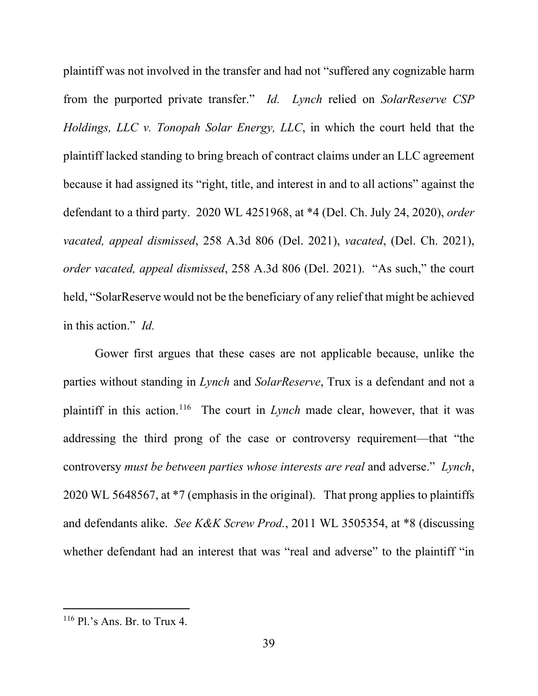plaintiff was not involved in the transfer and had not "suffered any cognizable harm from the purported private transfer." *Id. Lynch* relied on *SolarReserve CSP Holdings, LLC v. Tonopah Solar Energy, LLC*, in which the court held that the plaintiff lacked standing to bring breach of contract claims under an LLC agreement because it had assigned its "right, title, and interest in and to all actions" against the defendant to a third party. 2020 WL 4251968, at \*4 (Del. Ch. July 24, 2020), *order vacated, appeal dismissed*, 258 A.3d 806 (Del. 2021), *vacated*, (Del. Ch. 2021), *order vacated, appeal dismissed*, 258 A.3d 806 (Del. 2021). "As such," the court held, "SolarReserve would not be the beneficiary of any relief that might be achieved in this action." *Id.*

Gower first argues that these cases are not applicable because, unlike the parties without standing in *Lynch* and *SolarReserve*, Trux is a defendant and not a plaintiff in this action.116 The court in *Lynch* made clear, however, that it was addressing the third prong of the case or controversy requirement—that "the controversy *must be between parties whose interests are real* and adverse." *Lynch*, 2020 WL 5648567, at \*7 (emphasis in the original). That prong applies to plaintiffs and defendants alike. *See K&K Screw Prod.*, 2011 WL 3505354, at \*8 (discussing whether defendant had an interest that was "real and adverse" to the plaintiff "in

 $116$  Pl.'s Ans. Br. to Trux 4.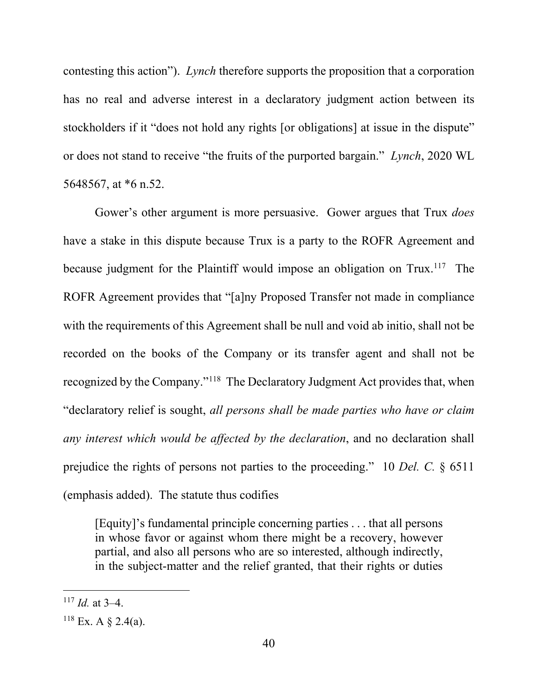contesting this action"). *Lynch* therefore supports the proposition that a corporation has no real and adverse interest in a declaratory judgment action between its stockholders if it "does not hold any rights [or obligations] at issue in the dispute" or does not stand to receive "the fruits of the purported bargain." *Lynch*, 2020 WL 5648567, at \*6 n.52.

Gower's other argument is more persuasive. Gower argues that Trux *does* have a stake in this dispute because Trux is a party to the ROFR Agreement and because judgment for the Plaintiff would impose an obligation on  $Trux$ <sup>117</sup>. The ROFR Agreement provides that "[a]ny Proposed Transfer not made in compliance with the requirements of this Agreement shall be null and void ab initio, shall not be recorded on the books of the Company or its transfer agent and shall not be recognized by the Company."118 The Declaratory Judgment Act provides that, when "declaratory relief is sought, *all persons shall be made parties who have or claim any interest which would be affected by the declaration*, and no declaration shall prejudice the rights of persons not parties to the proceeding." 10 *Del. C.* § 6511 (emphasis added). The statute thus codifies

[Equity]'s fundamental principle concerning parties . . . that all persons in whose favor or against whom there might be a recovery, however partial, and also all persons who are so interested, although indirectly, in the subject-matter and the relief granted, that their rights or duties

 $117$  *Id.* at 3–4.

 $118$  Ex. A § 2.4(a).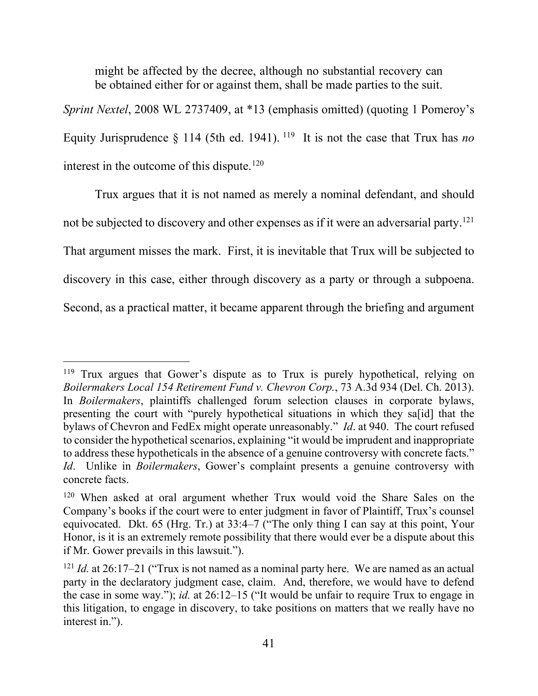might be affected by the decree, although no substantial recovery can be obtained either for or against them, shall be made parties to the suit.

*Sprint Nextel*, 2008 WL 2737409, at \*13 (emphasis omitted) (quoting 1 Pomeroy's Equity Jurisprudence  $\S$  114 (5th ed. 1941). <sup>119</sup> It is not the case that Trux has *no* interest in the outcome of this dispute.<sup>120</sup>

Trux argues that it is not named as merely a nominal defendant, and should not be subjected to discovery and other expenses as if it were an adversarial party.<sup>121</sup> That argument misses the mark. First, it is inevitable that Trux will be subjected to discovery in this case, either through discovery as a party or through a subpoena. Second, as a practical matter, it became apparent through the briefing and argument

<sup>&</sup>lt;sup>119</sup> Trux argues that Gower's dispute as to Trux is purely hypothetical, relying on *Boilermakers Local 154 Retirement Fund v. Chevron Corp.*, 73 A.3d 934 (Del. Ch. 2013). In *Boilermakers*, plaintiffs challenged forum selection clauses in corporate bylaws, presenting the court with "purely hypothetical situations in which they sa[id] that the bylaws of Chevron and FedEx might operate unreasonably." *Id*. at 940. The court refused to consider the hypothetical scenarios, explaining "it would be imprudent and inappropriate to address these hypotheticals in the absence of a genuine controversy with concrete facts." *Id*. Unlike in *Boilermakers*, Gower's complaint presents a genuine controversy with concrete facts.

<sup>&</sup>lt;sup>120</sup> When asked at oral argument whether Trux would void the Share Sales on the Company's books if the court were to enter judgment in favor of Plaintiff, Trux's counsel equivocated. Dkt. 65 (Hrg. Tr.) at 33:4–7 ("The only thing I can say at this point, Your Honor, is it is an extremely remote possibility that there would ever be a dispute about this if Mr. Gower prevails in this lawsuit.").

<sup>121</sup> *Id.* at 26:17–21 ("Trux is not named as a nominal party here. We are named as an actual party in the declaratory judgment case, claim. And, therefore, we would have to defend the case in some way."); *id.* at 26:12–15 ("It would be unfair to require Trux to engage in this litigation, to engage in discovery, to take positions on matters that we really have no interest in.").